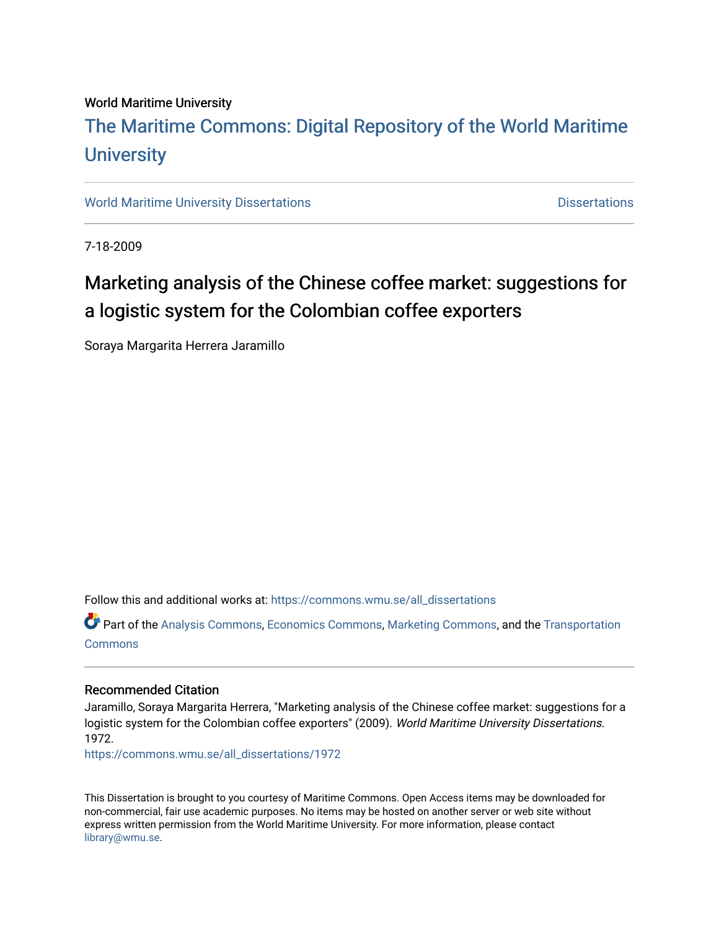## World Maritime University [The Maritime Commons: Digital Repository of the World Maritime](https://commons.wmu.se/)  **University**

[World Maritime University Dissertations](https://commons.wmu.se/all_dissertations) **Distributions** [Dissertations](https://commons.wmu.se/dissertations) Dissertations

7-18-2009

# Marketing analysis of the Chinese coffee market: suggestions for a logistic system for the Colombian coffee exporters

Soraya Margarita Herrera Jaramillo

Follow this and additional works at: [https://commons.wmu.se/all\\_dissertations](https://commons.wmu.se/all_dissertations?utm_source=commons.wmu.se%2Fall_dissertations%2F1972&utm_medium=PDF&utm_campaign=PDFCoverPages) 

Part of the [Analysis Commons](http://network.bepress.com/hgg/discipline/177?utm_source=commons.wmu.se%2Fall_dissertations%2F1972&utm_medium=PDF&utm_campaign=PDFCoverPages), [Economics Commons,](http://network.bepress.com/hgg/discipline/340?utm_source=commons.wmu.se%2Fall_dissertations%2F1972&utm_medium=PDF&utm_campaign=PDFCoverPages) [Marketing Commons](http://network.bepress.com/hgg/discipline/638?utm_source=commons.wmu.se%2Fall_dissertations%2F1972&utm_medium=PDF&utm_campaign=PDFCoverPages), and the [Transportation](http://network.bepress.com/hgg/discipline/1068?utm_source=commons.wmu.se%2Fall_dissertations%2F1972&utm_medium=PDF&utm_campaign=PDFCoverPages)  [Commons](http://network.bepress.com/hgg/discipline/1068?utm_source=commons.wmu.se%2Fall_dissertations%2F1972&utm_medium=PDF&utm_campaign=PDFCoverPages)

#### Recommended Citation

Jaramillo, Soraya Margarita Herrera, "Marketing analysis of the Chinese coffee market: suggestions for a logistic system for the Colombian coffee exporters" (2009). World Maritime University Dissertations. 1972.

[https://commons.wmu.se/all\\_dissertations/1972](https://commons.wmu.se/all_dissertations/1972?utm_source=commons.wmu.se%2Fall_dissertations%2F1972&utm_medium=PDF&utm_campaign=PDFCoverPages)

This Dissertation is brought to you courtesy of Maritime Commons. Open Access items may be downloaded for non-commercial, fair use academic purposes. No items may be hosted on another server or web site without express written permission from the World Maritime University. For more information, please contact [library@wmu.se](mailto:library@wmu.edu).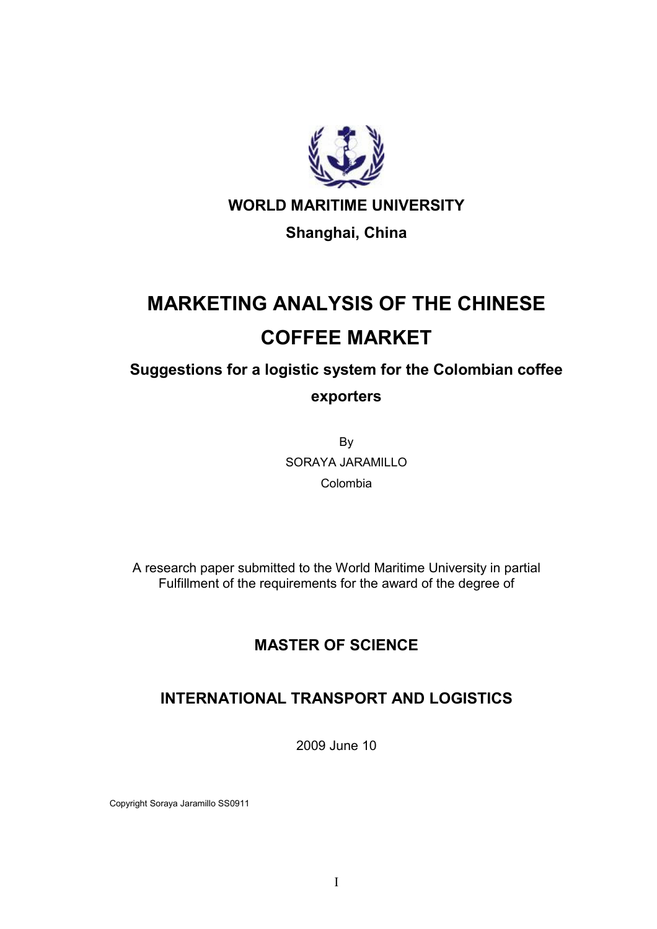

WORLD MARITIME UNIVERSITY

## Shanghai, China

# MARKETING ANALYSIS OF THE CHINESE COFFEE MARKET

Suggestions for a logistic system for the Colombian coffee exporters

> By SORAYA JARAMILLO Colombia

A research paper submitted to the World Maritime University in partial Fulfillment of the requirements for the award of the degree of

## MASTER OF SCIENCE

## INTERNATIONAL TRANSPORT AND LOGISTICS

2009 June 10

Copyright Soraya Jaramillo SS0911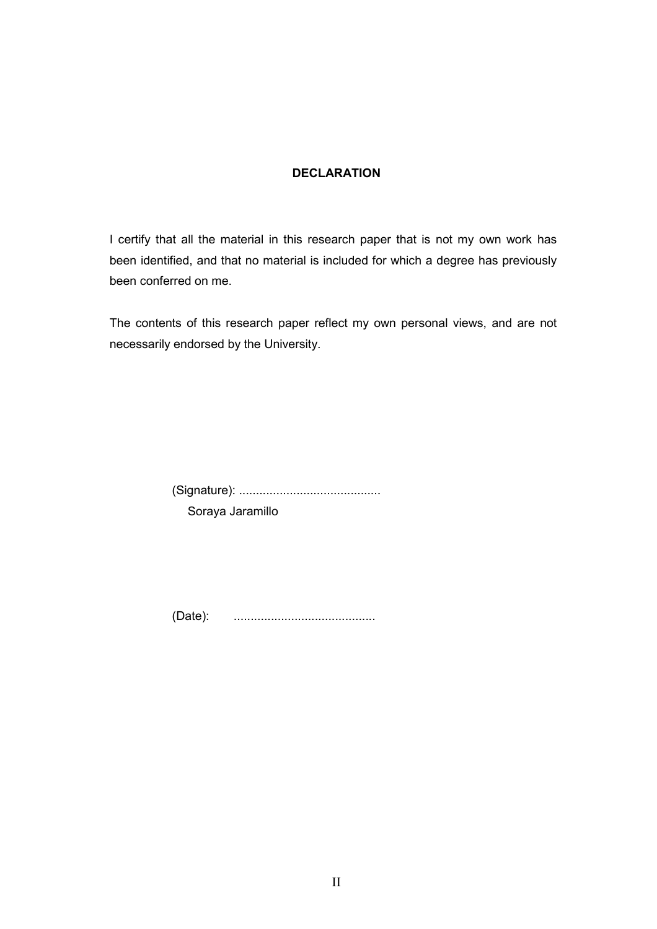#### DECLARATION

I certify that all the material in this research paper that is not my own work has been identified, and that no material is included for which a degree has previously been conferred on me.

The contents of this research paper reflect my own personal views, and are not necessarily endorsed by the University.

(Signature): ..........................................

Soraya Jaramillo

(Date): ..........................................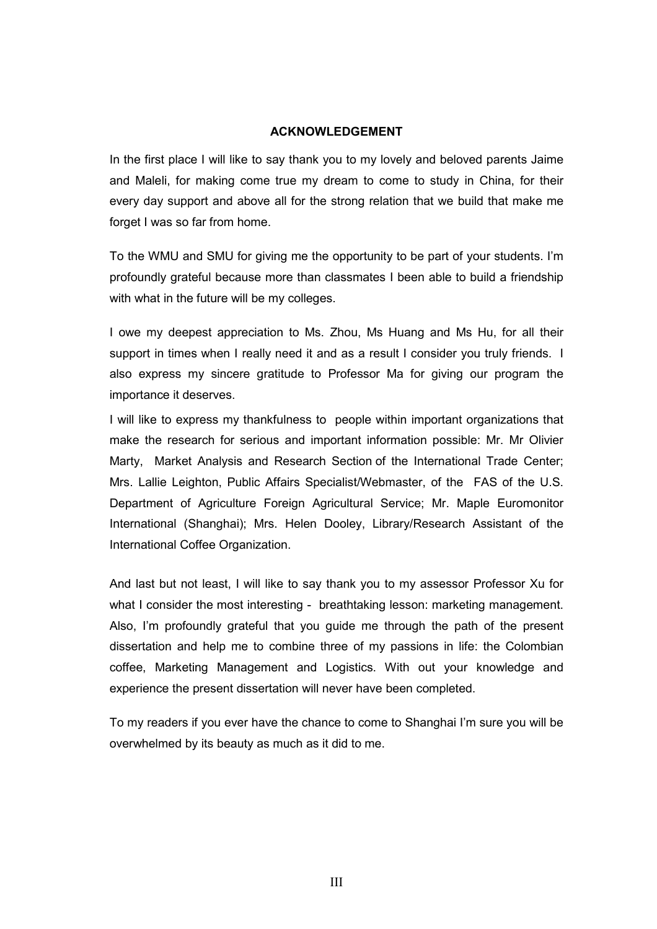#### ACKNOWLEDGEMENT

In the first place I will like to say thank you to my lovely and beloved parents Jaime and Maleli, for making come true my dream to come to study in China, for their every day support and above all for the strong relation that we build that make me forget I was so far from home.

To the WMU and SMU for giving me the opportunity to be part of your students. I'm profoundly grateful because more than classmates I been able to build a friendship with what in the future will be my colleges.

I owe my deepest appreciation to Ms. Zhou, Ms Huang and Ms Hu, for all their support in times when I really need it and as a result I consider you truly friends. I also express my sincere gratitude to Professor Ma for giving our program the importance it deserves.

I will like to express my thankfulness to people within important organizations that make the research for serious and important information possible: Mr. Mr Olivier Marty, Market Analysis and Research Section of the International Trade Center; Mrs. Lallie Leighton, Public Affairs Specialist/Webmaster, of the FAS of the U.S. Department of Agriculture Foreign Agricultural Service; Mr. Maple Euromonitor International (Shanghai); Mrs. Helen Dooley, Library/Research Assistant of the International Coffee Organization.

And last but not least, I will like to say thank you to my assessor Professor Xu for what I consider the most interesting - breathtaking lesson: marketing management. Also, I'm profoundly grateful that you guide me through the path of the present dissertation and help me to combine three of my passions in life: the Colombian coffee, Marketing Management and Logistics. With out your knowledge and experience the present dissertation will never have been completed.

To my readers if you ever have the chance to come to Shanghai I'm sure you will be overwhelmed by its beauty as much as it did to me.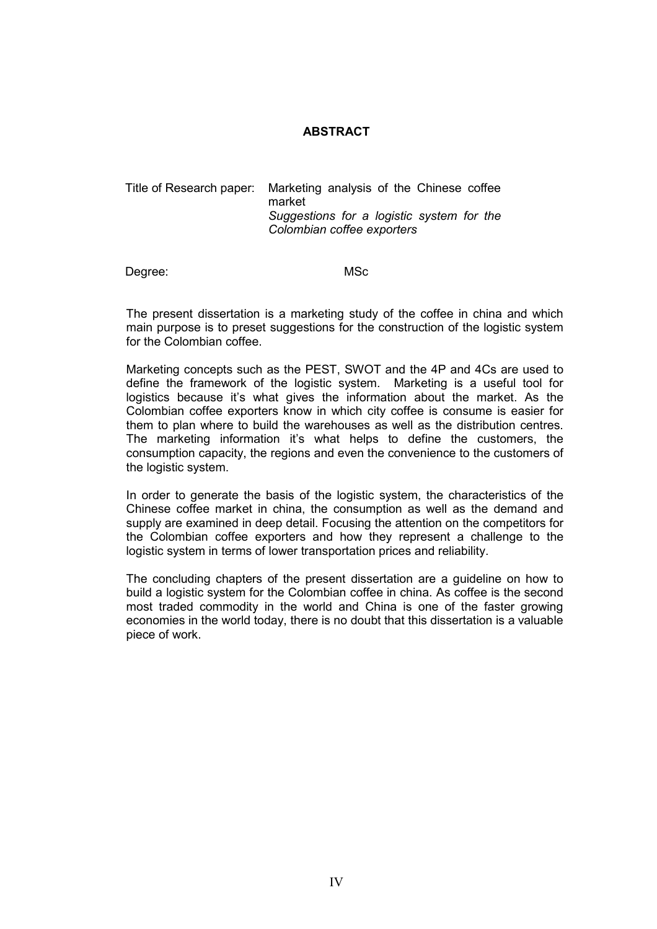#### ABSTRACT

Title of Research paper: Marketing analysis of the Chinese coffee market Suggestions for a logistic system for the Colombian coffee exporters

Degree: MSc

The present dissertation is a marketing study of the coffee in china and which main purpose is to preset suggestions for the construction of the logistic system for the Colombian coffee.

Marketing concepts such as the PEST, SWOT and the 4P and 4Cs are used to define the framework of the logistic system. Marketing is a useful tool for logistics because it's what gives the information about the market. As the Colombian coffee exporters know in which city coffee is consume is easier for them to plan where to build the warehouses as well as the distribution centres. The marketing information it's what helps to define the customers, the consumption capacity, the regions and even the convenience to the customers of the logistic system.

In order to generate the basis of the logistic system, the characteristics of the Chinese coffee market in china, the consumption as well as the demand and supply are examined in deep detail. Focusing the attention on the competitors for the Colombian coffee exporters and how they represent a challenge to the logistic system in terms of lower transportation prices and reliability.

The concluding chapters of the present dissertation are a guideline on how to build a logistic system for the Colombian coffee in china. As coffee is the second most traded commodity in the world and China is one of the faster growing economies in the world today, there is no doubt that this dissertation is a valuable piece of work.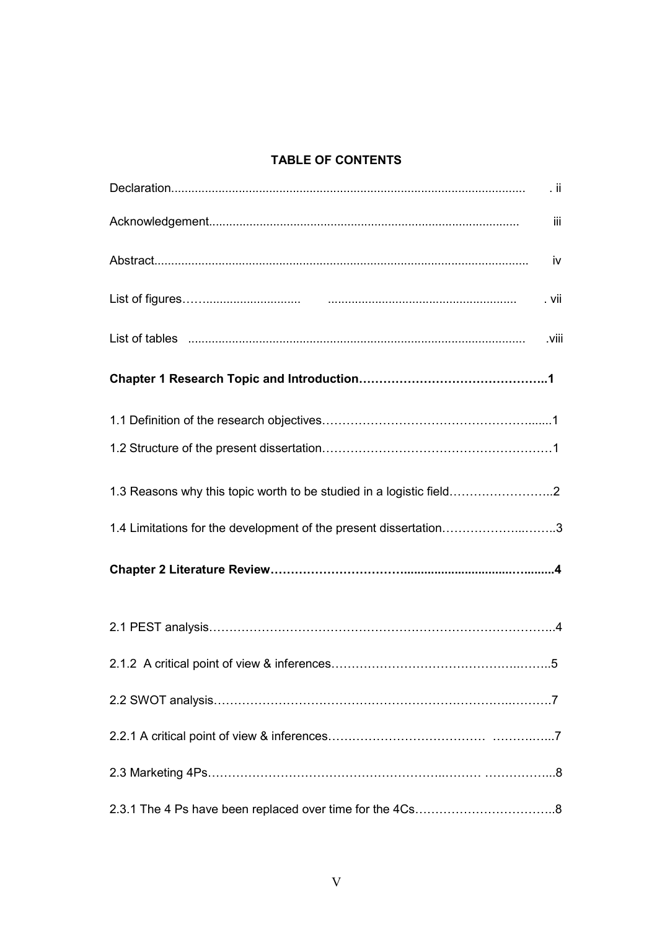#### TABLE OF CONTENTS

| $\cdot$ ii                                                                                                    |     |
|---------------------------------------------------------------------------------------------------------------|-----|
|                                                                                                               | iii |
|                                                                                                               | iv  |
| . vii                                                                                                         |     |
| List of tables <b>with the contract of the contract of tables contract to the contract of tables</b><br>.viii |     |
|                                                                                                               |     |
|                                                                                                               |     |
|                                                                                                               |     |
| 1.3 Reasons why this topic worth to be studied in a logistic field                                            |     |
| 1.4 Limitations for the development of the present dissertation3                                              |     |
|                                                                                                               |     |
|                                                                                                               |     |
|                                                                                                               |     |
|                                                                                                               |     |
|                                                                                                               |     |
|                                                                                                               |     |
|                                                                                                               |     |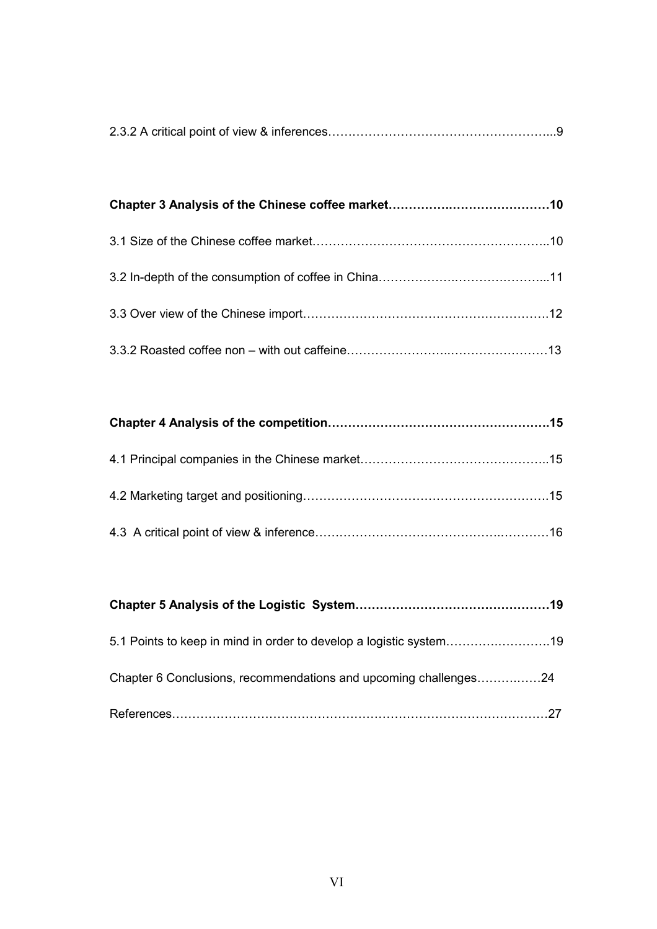|--|--|--|--|

Chapter 6 Conclusions, recommendations and upcoming challenges................24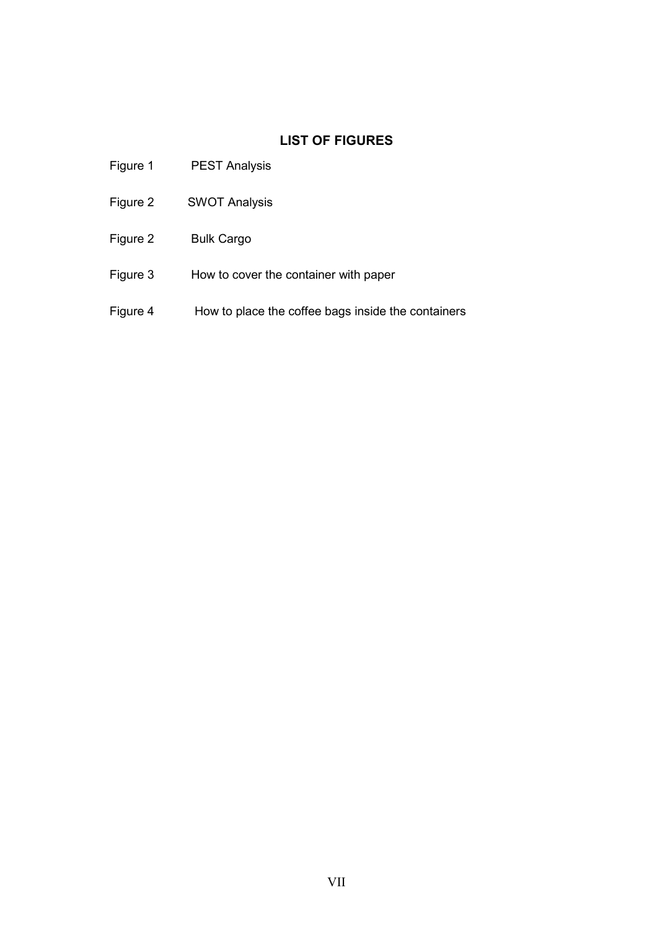## LIST OF FIGURES

| Figure 1 | <b>PEST Analysis</b>                               |
|----------|----------------------------------------------------|
| Figure 2 | <b>SWOT Analysis</b>                               |
| Figure 2 | <b>Bulk Cargo</b>                                  |
| Figure 3 | How to cover the container with paper              |
| Figure 4 | How to place the coffee bags inside the containers |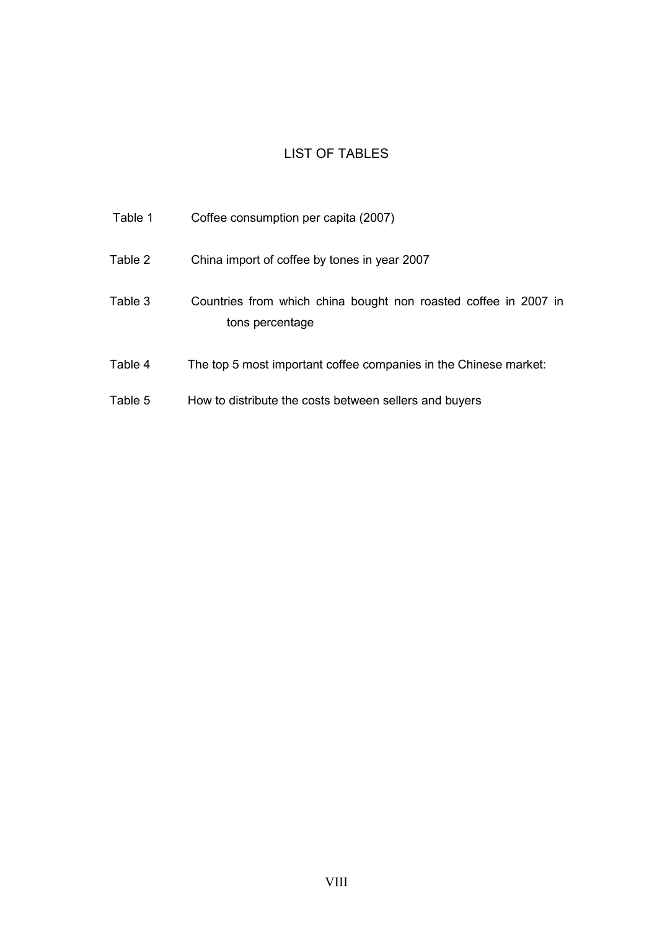### LIST OF TABLES

| Table 1 | Coffee consumption per capita (2007)                                               |
|---------|------------------------------------------------------------------------------------|
| Table 2 | China import of coffee by tones in year 2007                                       |
| Table 3 | Countries from which china bought non roasted coffee in 2007 in<br>tons percentage |
| Table 4 | The top 5 most important coffee companies in the Chinese market:                   |
| Table 5 | How to distribute the costs between sellers and buyers                             |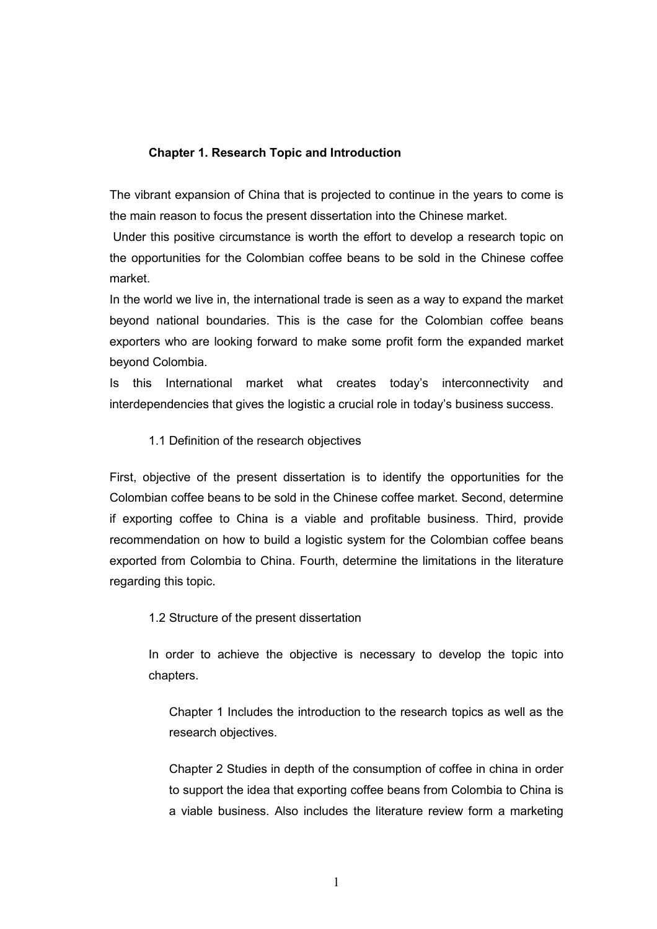#### Chapter 1. Research Topic and Introduction

The vibrant expansion of China that is projected to continue in the years to come is the main reason to focus the present dissertation into the Chinese market.

 Under this positive circumstance is worth the effort to develop a research topic on the opportunities for the Colombian coffee beans to be sold in the Chinese coffee market.

In the world we live in, the international trade is seen as a way to expand the market beyond national boundaries. This is the case for the Colombian coffee beans exporters who are looking forward to make some profit form the expanded market beyond Colombia.

Is this International market what creates today's interconnectivity and interdependencies that gives the logistic a crucial role in today's business success.

#### 1.1 Definition of the research objectives

First, objective of the present dissertation is to identify the opportunities for the Colombian coffee beans to be sold in the Chinese coffee market. Second, determine if exporting coffee to China is a viable and profitable business. Third, provide recommendation on how to build a logistic system for the Colombian coffee beans exported from Colombia to China. Fourth, determine the limitations in the literature regarding this topic.

1.2 Structure of the present dissertation

 In order to achieve the objective is necessary to develop the topic into chapters.

Chapter 1 Includes the introduction to the research topics as well as the research objectives.

Chapter 2 Studies in depth of the consumption of coffee in china in order to support the idea that exporting coffee beans from Colombia to China is a viable business. Also includes the literature review form a marketing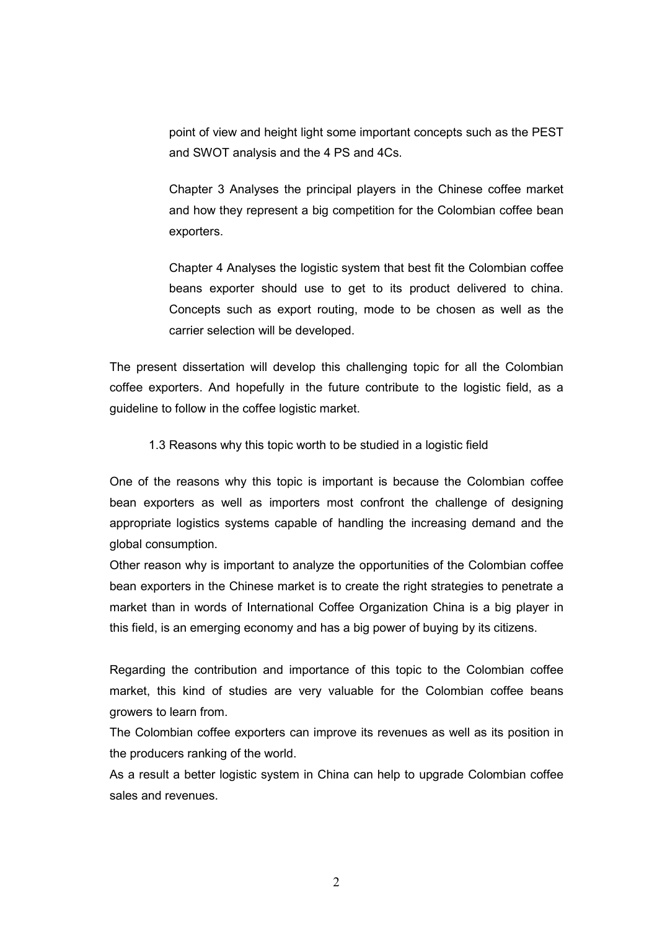point of view and height light some important concepts such as the PEST and SWOT analysis and the 4 PS and 4Cs.

Chapter 3 Analyses the principal players in the Chinese coffee market and how they represent a big competition for the Colombian coffee bean exporters.

Chapter 4 Analyses the logistic system that best fit the Colombian coffee beans exporter should use to get to its product delivered to china. Concepts such as export routing, mode to be chosen as well as the carrier selection will be developed.

The present dissertation will develop this challenging topic for all the Colombian coffee exporters. And hopefully in the future contribute to the logistic field, as a guideline to follow in the coffee logistic market.

1.3 Reasons why this topic worth to be studied in a logistic field

One of the reasons why this topic is important is because the Colombian coffee bean exporters as well as importers most confront the challenge of designing appropriate logistics systems capable of handling the increasing demand and the global consumption.

Other reason why is important to analyze the opportunities of the Colombian coffee bean exporters in the Chinese market is to create the right strategies to penetrate a market than in words of International Coffee Organization China is a big player in this field, is an emerging economy and has a big power of buying by its citizens.

Regarding the contribution and importance of this topic to the Colombian coffee market, this kind of studies are very valuable for the Colombian coffee beans growers to learn from.

The Colombian coffee exporters can improve its revenues as well as its position in the producers ranking of the world.

As a result a better logistic system in China can help to upgrade Colombian coffee sales and revenues.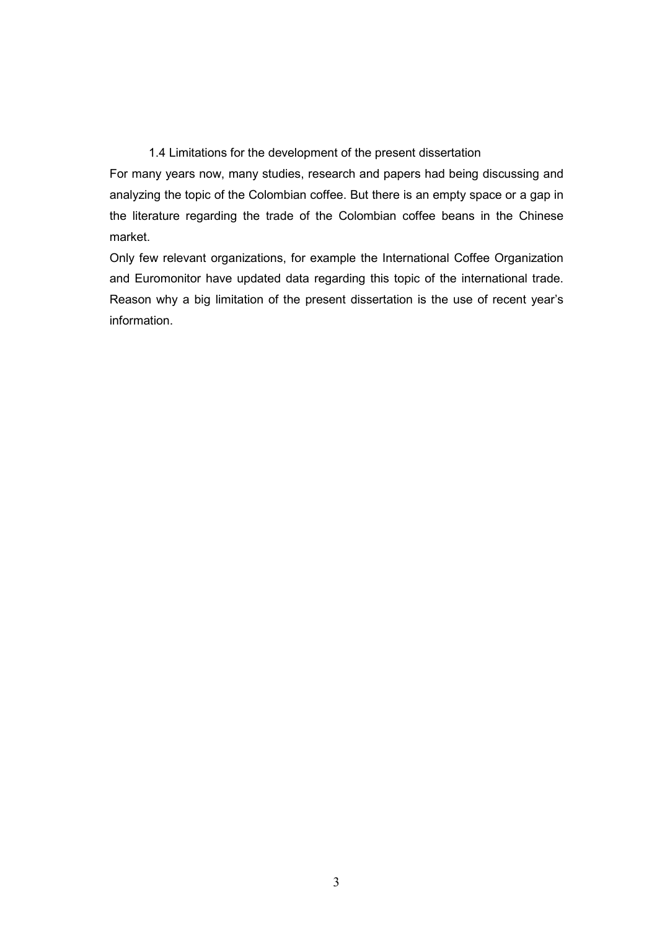#### 1.4 Limitations for the development of the present dissertation

For many years now, many studies, research and papers had being discussing and analyzing the topic of the Colombian coffee. But there is an empty space or a gap in the literature regarding the trade of the Colombian coffee beans in the Chinese market.

Only few relevant organizations, for example the International Coffee Organization and Euromonitor have updated data regarding this topic of the international trade. Reason why a big limitation of the present dissertation is the use of recent year's information.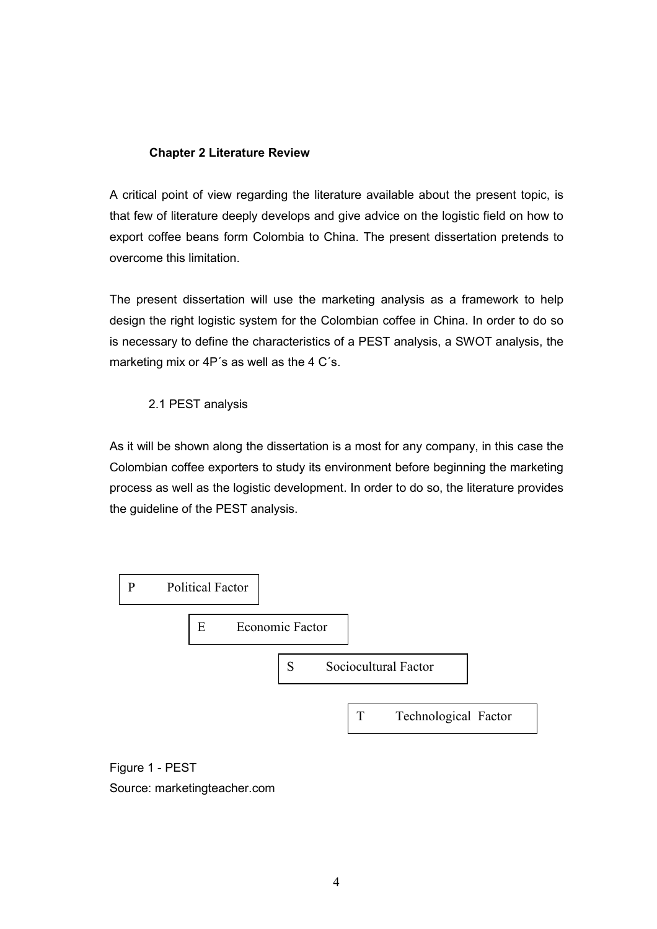#### Chapter 2 Literature Review

A critical point of view regarding the literature available about the present topic, is that few of literature deeply develops and give advice on the logistic field on how to export coffee beans form Colombia to China. The present dissertation pretends to overcome this limitation.

The present dissertation will use the marketing analysis as a framework to help design the right logistic system for the Colombian coffee in China. In order to do so is necessary to define the characteristics of a PEST analysis, a SWOT analysis, the marketing mix or 4P's as well as the 4 C's.

#### 2.1 PEST analysis

As it will be shown along the dissertation is a most for any company, in this case the Colombian coffee exporters to study its environment before beginning the marketing process as well as the logistic development. In order to do so, the literature provides the guideline of the PEST analysis.



Figure 1 - PEST Source: marketingteacher.com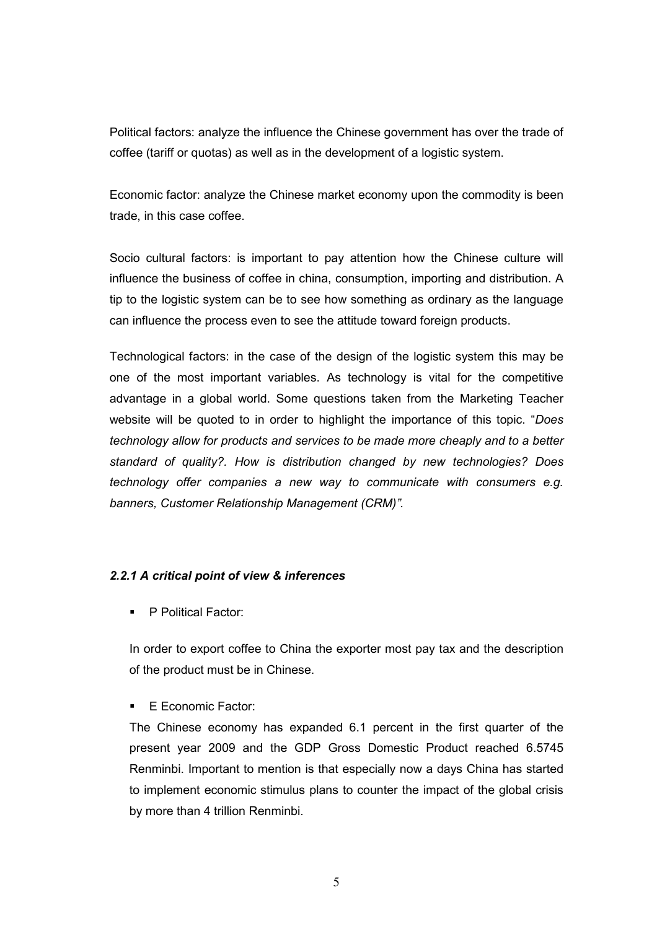Political factors: analyze the influence the Chinese government has over the trade of coffee (tariff or quotas) as well as in the development of a logistic system.

Economic factor: analyze the Chinese market economy upon the commodity is been trade, in this case coffee.

Socio cultural factors: is important to pay attention how the Chinese culture will influence the business of coffee in china, consumption, importing and distribution. A tip to the logistic system can be to see how something as ordinary as the language can influence the process even to see the attitude toward foreign products.

Technological factors: in the case of the design of the logistic system this may be one of the most important variables. As technology is vital for the competitive advantage in a global world. Some questions taken from the Marketing Teacher website will be quoted to in order to highlight the importance of this topic. "Does technology allow for products and services to be made more cheaply and to a better standard of quality?. How is distribution changed by new technologies? Does technology offer companies a new way to communicate with consumers e.g. banners, Customer Relationship Management (CRM)".

#### 2.2.1 A critical point of view & inferences

**P Political Factor:** 

In order to export coffee to China the exporter most pay tax and the description of the product must be in Chinese.

E Economic Factor:

The Chinese economy has expanded 6.1 percent in the first quarter of the present year 2009 and the GDP Gross Domestic Product reached 6.5745 Renminbi. Important to mention is that especially now a days China has started to implement economic stimulus plans to counter the impact of the global crisis by more than 4 trillion Renminbi.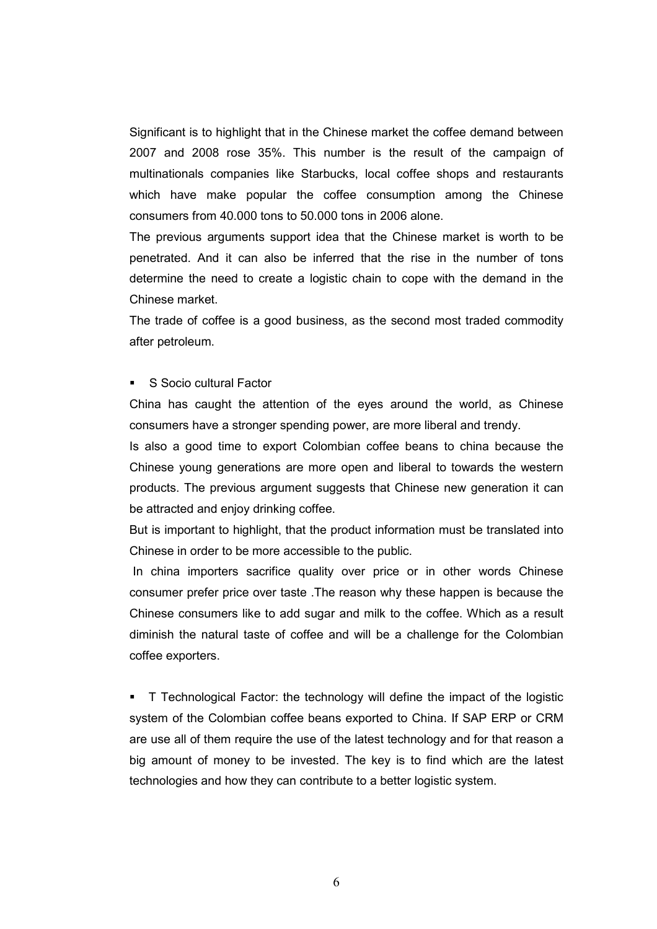Significant is to highlight that in the Chinese market the coffee demand between 2007 and 2008 rose 35%. This number is the result of the campaign of multinationals companies like Starbucks, local coffee shops and restaurants which have make popular the coffee consumption among the Chinese consumers from 40.000 tons to 50.000 tons in 2006 alone.

The previous arguments support idea that the Chinese market is worth to be penetrated. And it can also be inferred that the rise in the number of tons determine the need to create a logistic chain to cope with the demand in the Chinese market.

The trade of coffee is a good business, as the second most traded commodity after petroleum.

S Socio cultural Factor

China has caught the attention of the eyes around the world, as Chinese consumers have a stronger spending power, are more liberal and trendy.

Is also a good time to export Colombian coffee beans to china because the Chinese young generations are more open and liberal to towards the western products. The previous argument suggests that Chinese new generation it can be attracted and enjoy drinking coffee.

But is important to highlight, that the product information must be translated into Chinese in order to be more accessible to the public.

 In china importers sacrifice quality over price or in other words Chinese consumer prefer price over taste .The reason why these happen is because the Chinese consumers like to add sugar and milk to the coffee. Which as a result diminish the natural taste of coffee and will be a challenge for the Colombian coffee exporters.

 T Technological Factor: the technology will define the impact of the logistic system of the Colombian coffee beans exported to China. If SAP ERP or CRM are use all of them require the use of the latest technology and for that reason a big amount of money to be invested. The key is to find which are the latest technologies and how they can contribute to a better logistic system.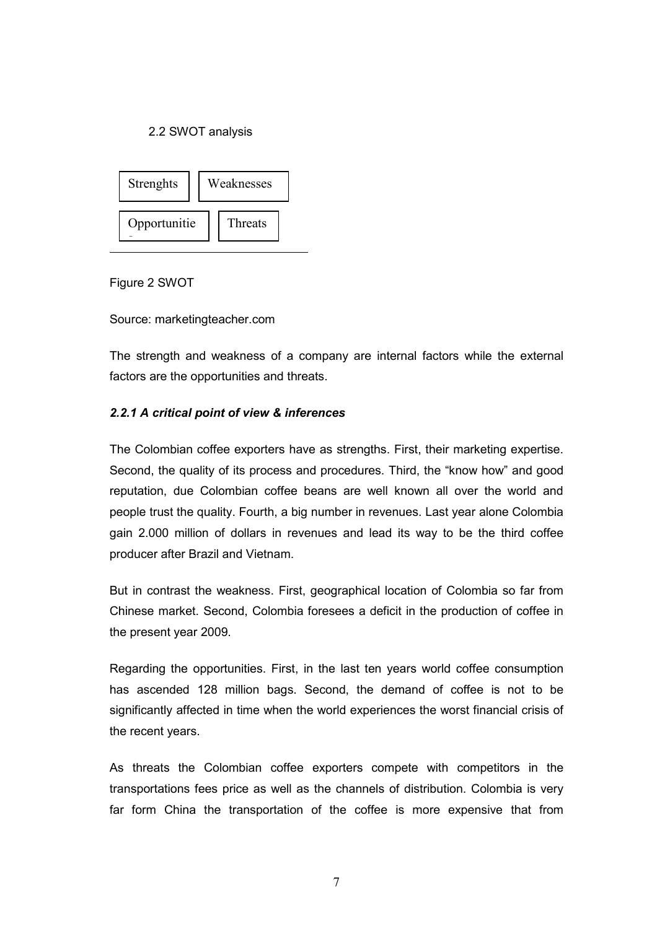#### 2.2 SWOT analysis



Figure 2 SWOT

Source: marketingteacher.com

The strength and weakness of a company are internal factors while the external factors are the opportunities and threats.

#### 2.2.1 A critical point of view & inferences

The Colombian coffee exporters have as strengths. First, their marketing expertise. Second, the quality of its process and procedures. Third, the "know how" and good reputation, due Colombian coffee beans are well known all over the world and people trust the quality. Fourth, a big number in revenues. Last year alone Colombia gain 2.000 million of dollars in revenues and lead its way to be the third coffee producer after Brazil and Vietnam.

But in contrast the weakness. First, geographical location of Colombia so far from Chinese market. Second, Colombia foresees a deficit in the production of coffee in the present year 2009.

Regarding the opportunities. First, in the last ten years world coffee consumption has ascended 128 million bags. Second, the demand of coffee is not to be significantly affected in time when the world experiences the worst financial crisis of the recent years.

As threats the Colombian coffee exporters compete with competitors in the transportations fees price as well as the channels of distribution. Colombia is very far form China the transportation of the coffee is more expensive that from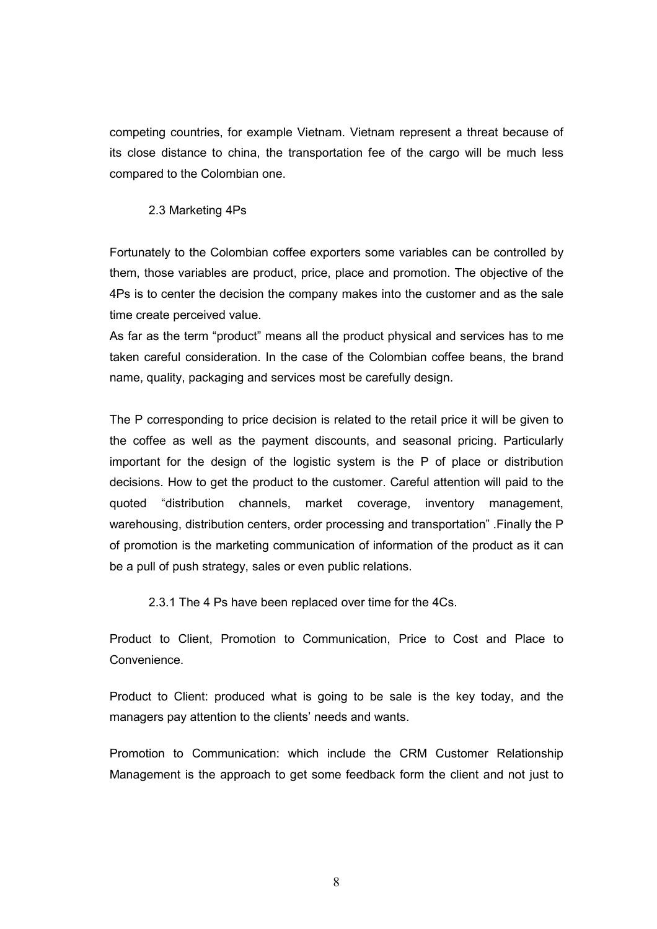competing countries, for example Vietnam. Vietnam represent a threat because of its close distance to china, the transportation fee of the cargo will be much less compared to the Colombian one.

2.3 Marketing 4Ps

Fortunately to the Colombian coffee exporters some variables can be controlled by them, those variables are product, price, place and promotion. The objective of the 4Ps is to center the decision the company makes into the customer and as the sale time create perceived value.

As far as the term "product" means all the product physical and services has to me taken careful consideration. In the case of the Colombian coffee beans, the brand name, quality, packaging and services most be carefully design.

The P corresponding to price decision is related to the retail price it will be given to the coffee as well as the payment discounts, and seasonal pricing. Particularly important for the design of the logistic system is the P of place or distribution decisions. How to get the product to the customer. Careful attention will paid to the quoted "distribution channels, market coverage, inventory management, warehousing, distribution centers, order processing and transportation" .Finally the P of promotion is the marketing communication of information of the product as it can be a pull of push strategy, sales or even public relations.

2.3.1 The 4 Ps have been replaced over time for the 4Cs.

Product to Client, Promotion to Communication, Price to Cost and Place to **Convenience** 

Product to Client: produced what is going to be sale is the key today, and the managers pay attention to the clients' needs and wants.

Promotion to Communication: which include the CRM Customer Relationship Management is the approach to get some feedback form the client and not just to

8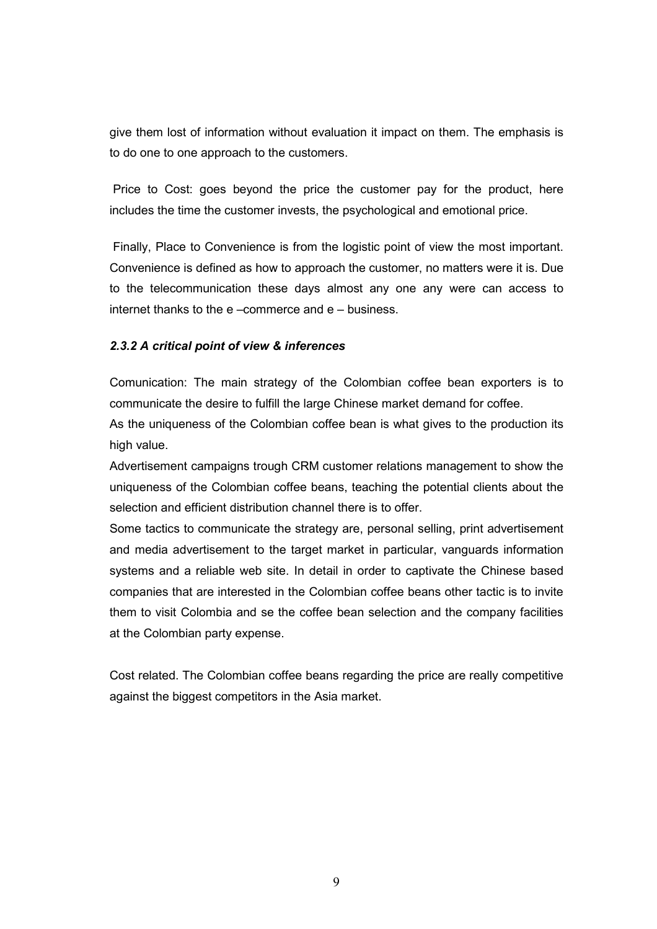give them lost of information without evaluation it impact on them. The emphasis is to do one to one approach to the customers.

 Price to Cost: goes beyond the price the customer pay for the product, here includes the time the customer invests, the psychological and emotional price.

 Finally, Place to Convenience is from the logistic point of view the most important. Convenience is defined as how to approach the customer, no matters were it is. Due to the telecommunication these days almost any one any were can access to internet thanks to the e –commerce and e – business.

#### 2.3.2 A critical point of view & inferences

Comunication: The main strategy of the Colombian coffee bean exporters is to communicate the desire to fulfill the large Chinese market demand for coffee.

As the uniqueness of the Colombian coffee bean is what gives to the production its high value.

Advertisement campaigns trough CRM customer relations management to show the uniqueness of the Colombian coffee beans, teaching the potential clients about the selection and efficient distribution channel there is to offer.

Some tactics to communicate the strategy are, personal selling, print advertisement and media advertisement to the target market in particular, vanguards information systems and a reliable web site. In detail in order to captivate the Chinese based companies that are interested in the Colombian coffee beans other tactic is to invite them to visit Colombia and se the coffee bean selection and the company facilities at the Colombian party expense.

Cost related. The Colombian coffee beans regarding the price are really competitive against the biggest competitors in the Asia market.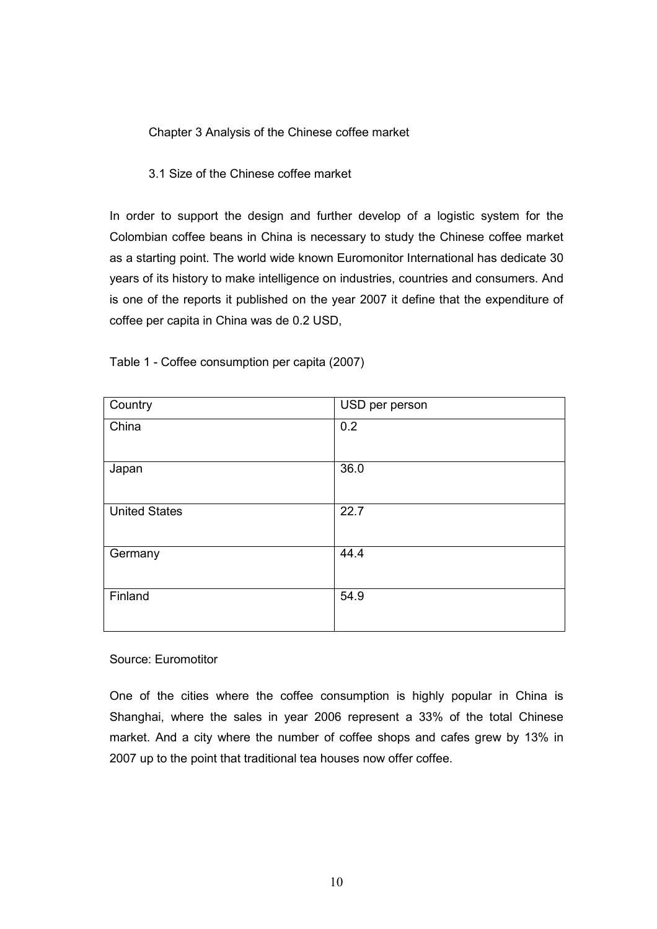Chapter 3 Analysis of the Chinese coffee market

#### 3.1 Size of the Chinese coffee market

In order to support the design and further develop of a logistic system for the Colombian coffee beans in China is necessary to study the Chinese coffee market as a starting point. The world wide known Euromonitor International has dedicate 30 years of its history to make intelligence on industries, countries and consumers. And is one of the reports it published on the year 2007 it define that the expenditure of coffee per capita in China was de 0.2 USD,

| Country              | USD per person |
|----------------------|----------------|
| China                | 0.2            |
|                      |                |
| Japan                | 36.0           |
| <b>United States</b> | 22.7           |
| Germany              | 44.4           |
| Finland              | 54.9           |

Table 1 - Coffee consumption per capita (2007)

Source: Euromotitor

One of the cities where the coffee consumption is highly popular in China is Shanghai, where the sales in year 2006 represent a 33% of the total Chinese market. And a city where the number of coffee shops and cafes grew by 13% in 2007 up to the point that traditional tea houses now offer coffee.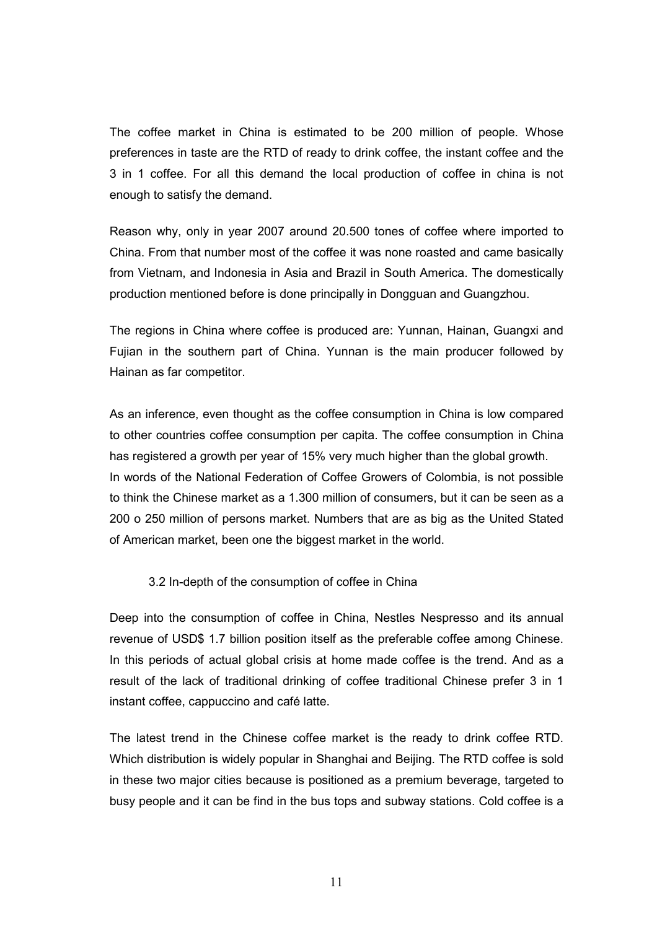The coffee market in China is estimated to be 200 million of people. Whose preferences in taste are the RTD of ready to drink coffee, the instant coffee and the 3 in 1 coffee. For all this demand the local production of coffee in china is not enough to satisfy the demand.

Reason why, only in year 2007 around 20.500 tones of coffee where imported to China. From that number most of the coffee it was none roasted and came basically from Vietnam, and Indonesia in Asia and Brazil in South America. The domestically production mentioned before is done principally in Dongguan and Guangzhou.

The regions in China where coffee is produced are: Yunnan, Hainan, Guangxi and Fujian in the southern part of China. Yunnan is the main producer followed by Hainan as far competitor.

As an inference, even thought as the coffee consumption in China is low compared to other countries coffee consumption per capita. The coffee consumption in China has registered a growth per year of 15% very much higher than the global growth. In words of the National Federation of Coffee Growers of Colombia, is not possible to think the Chinese market as a 1.300 million of consumers, but it can be seen as a 200 o 250 million of persons market. Numbers that are as big as the United Stated of American market, been one the biggest market in the world.

#### 3.2 In-depth of the consumption of coffee in China

Deep into the consumption of coffee in China, Nestles Nespresso and its annual revenue of USD\$ 1.7 billion position itself as the preferable coffee among Chinese. In this periods of actual global crisis at home made coffee is the trend. And as a result of the lack of traditional drinking of coffee traditional Chinese prefer 3 in 1 instant coffee, cappuccino and café latte.

The latest trend in the Chinese coffee market is the ready to drink coffee RTD. Which distribution is widely popular in Shanghai and Beijing. The RTD coffee is sold in these two major cities because is positioned as a premium beverage, targeted to busy people and it can be find in the bus tops and subway stations. Cold coffee is a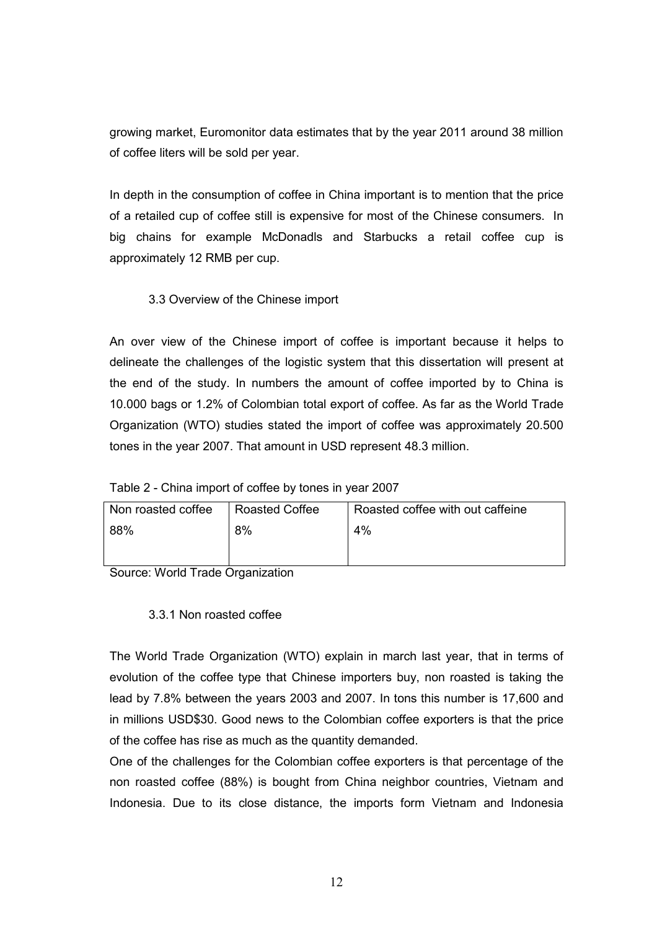growing market, Euromonitor data estimates that by the year 2011 around 38 million of coffee liters will be sold per year.

In depth in the consumption of coffee in China important is to mention that the price of a retailed cup of coffee still is expensive for most of the Chinese consumers. In big chains for example McDonadls and Starbucks a retail coffee cup is approximately 12 RMB per cup.

#### 3.3 Overview of the Chinese import

An over view of the Chinese import of coffee is important because it helps to delineate the challenges of the logistic system that this dissertation will present at the end of the study. In numbers the amount of coffee imported by to China is 10.000 bags or 1.2% of Colombian total export of coffee. As far as the World Trade Organization (WTO) studies stated the import of coffee was approximately 20.500 tones in the year 2007. That amount in USD represent 48.3 million.

#### Table 2 - China import of coffee by tones in year 2007

| Non roasted coffee | Roasted Coffee | Roasted coffee with out caffeine |  |
|--------------------|----------------|----------------------------------|--|
| 88%<br>8%          |                | 4%                               |  |
|                    |                |                                  |  |

Source: World Trade Organization

#### 3.3.1 Non roasted coffee

The World Trade Organization (WTO) explain in march last year, that in terms of evolution of the coffee type that Chinese importers buy, non roasted is taking the lead by 7.8% between the years 2003 and 2007. In tons this number is 17,600 and in millions USD\$30. Good news to the Colombian coffee exporters is that the price of the coffee has rise as much as the quantity demanded.

One of the challenges for the Colombian coffee exporters is that percentage of the non roasted coffee (88%) is bought from China neighbor countries, Vietnam and Indonesia. Due to its close distance, the imports form Vietnam and Indonesia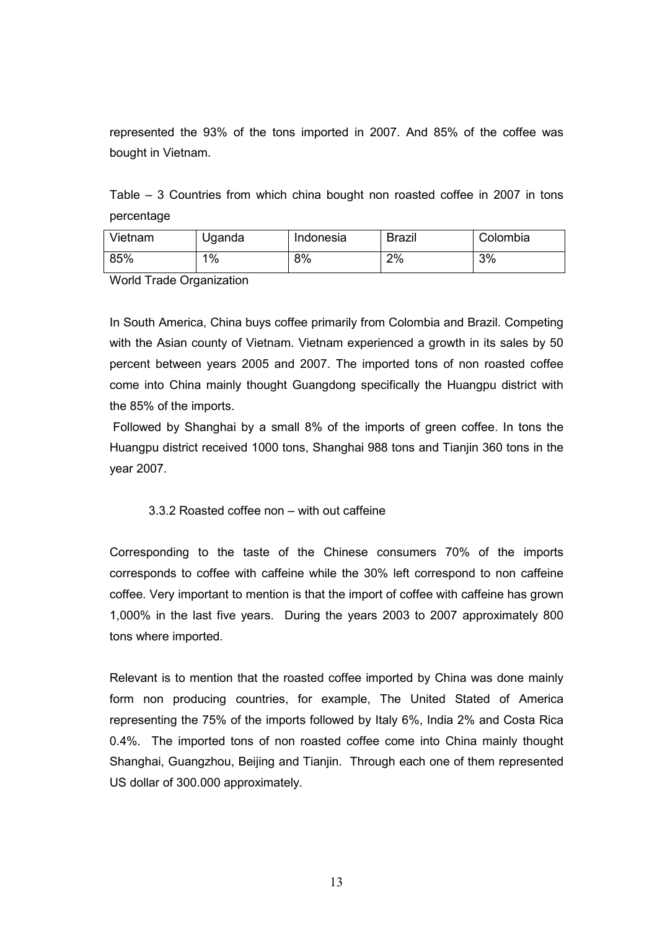represented the 93% of the tons imported in 2007. And 85% of the coffee was bought in Vietnam.

Table – 3 Countries from which china bought non roasted coffee in 2007 in tons percentage

| Vietnam | Uganda | Indonesia | <b>Brazil</b> | Colombia |
|---------|--------|-----------|---------------|----------|
| 85%     | $1\%$  | 8%        | 2%            | 3%       |

World Trade Organization

In South America, China buys coffee primarily from Colombia and Brazil. Competing with the Asian county of Vietnam. Vietnam experienced a growth in its sales by 50 percent between years 2005 and 2007. The imported tons of non roasted coffee come into China mainly thought Guangdong specifically the Huangpu district with the 85% of the imports.

 Followed by Shanghai by a small 8% of the imports of green coffee. In tons the Huangpu district received 1000 tons, Shanghai 988 tons and Tianjin 360 tons in the year 2007.

#### 3.3.2 Roasted coffee non – with out caffeine

Corresponding to the taste of the Chinese consumers 70% of the imports corresponds to coffee with caffeine while the 30% left correspond to non caffeine coffee. Very important to mention is that the import of coffee with caffeine has grown 1,000% in the last five years. During the years 2003 to 2007 approximately 800 tons where imported.

Relevant is to mention that the roasted coffee imported by China was done mainly form non producing countries, for example, The United Stated of America representing the 75% of the imports followed by Italy 6%, India 2% and Costa Rica 0.4%. The imported tons of non roasted coffee come into China mainly thought Shanghai, Guangzhou, Beijing and Tianjin. Through each one of them represented US dollar of 300.000 approximately.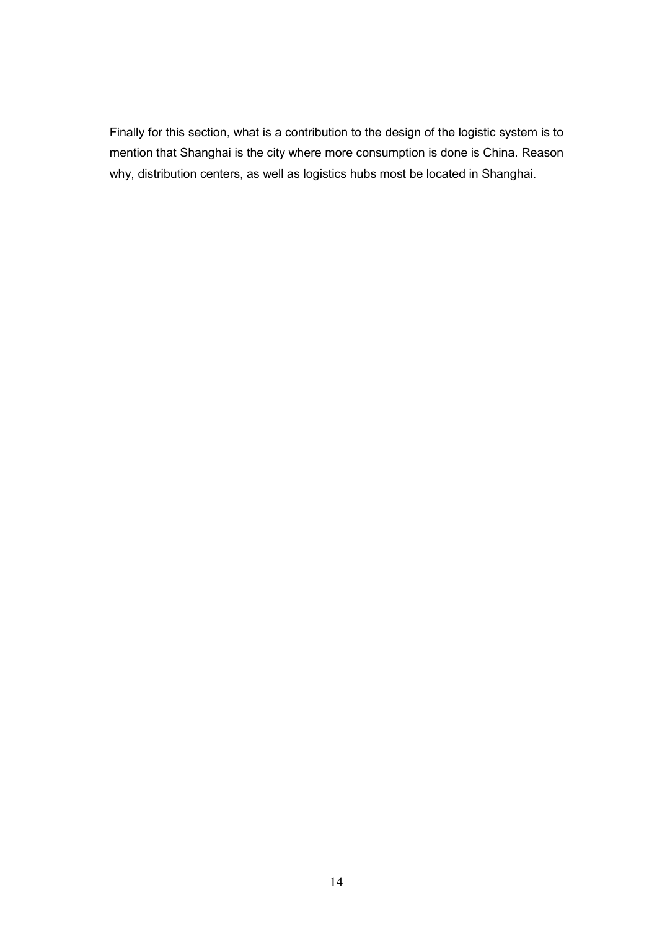Finally for this section, what is a contribution to the design of the logistic system is to mention that Shanghai is the city where more consumption is done is China. Reason why, distribution centers, as well as logistics hubs most be located in Shanghai.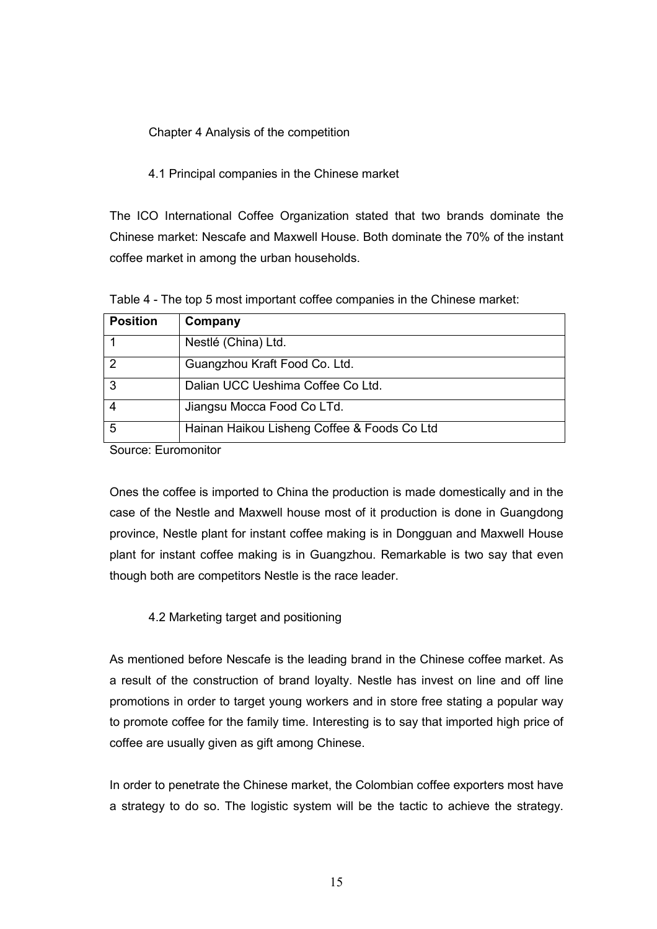Chapter 4 Analysis of the competition

#### 4.1 Principal companies in the Chinese market

The ICO International Coffee Organization stated that two brands dominate the Chinese market: Nescafe and Maxwell House. Both dominate the 70% of the instant coffee market in among the urban households.

|  |  | Table 4 - The top 5 most important coffee companies in the Chinese market: |
|--|--|----------------------------------------------------------------------------|
|  |  |                                                                            |

| <b>Position</b> | Company                                     |
|-----------------|---------------------------------------------|
|                 | Nestlé (China) Ltd.                         |
| 2               | Guangzhou Kraft Food Co. Ltd.               |
| 3               | Dalian UCC Ueshima Coffee Co Ltd.           |
|                 | Jiangsu Mocca Food Co LTd.                  |
| 5               | Hainan Haikou Lisheng Coffee & Foods Co Ltd |
|                 |                                             |

Source: Euromonitor

Ones the coffee is imported to China the production is made domestically and in the case of the Nestle and Maxwell house most of it production is done in Guangdong province, Nestle plant for instant coffee making is in Dongguan and Maxwell House plant for instant coffee making is in Guangzhou. Remarkable is two say that even though both are competitors Nestle is the race leader.

#### 4.2 Marketing target and positioning

As mentioned before Nescafe is the leading brand in the Chinese coffee market. As a result of the construction of brand loyalty. Nestle has invest on line and off line promotions in order to target young workers and in store free stating a popular way to promote coffee for the family time. Interesting is to say that imported high price of coffee are usually given as gift among Chinese.

In order to penetrate the Chinese market, the Colombian coffee exporters most have a strategy to do so. The logistic system will be the tactic to achieve the strategy.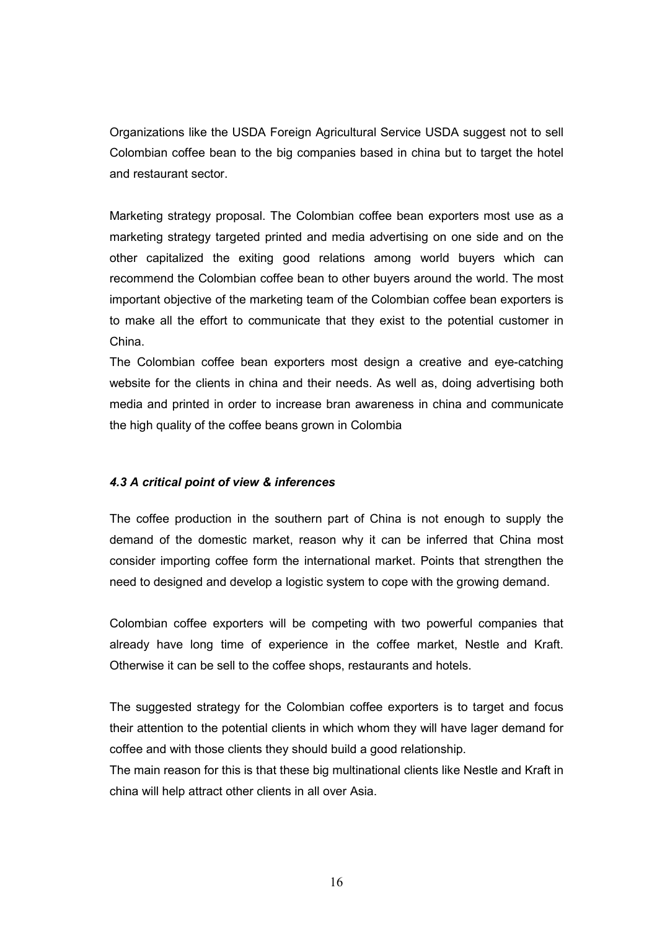Organizations like the USDA Foreign Agricultural Service USDA suggest not to sell Colombian coffee bean to the big companies based in china but to target the hotel and restaurant sector.

Marketing strategy proposal. The Colombian coffee bean exporters most use as a marketing strategy targeted printed and media advertising on one side and on the other capitalized the exiting good relations among world buyers which can recommend the Colombian coffee bean to other buyers around the world. The most important objective of the marketing team of the Colombian coffee bean exporters is to make all the effort to communicate that they exist to the potential customer in China.

The Colombian coffee bean exporters most design a creative and eye-catching website for the clients in china and their needs. As well as, doing advertising both media and printed in order to increase bran awareness in china and communicate the high quality of the coffee beans grown in Colombia

#### 4.3 A critical point of view & inferences

The coffee production in the southern part of China is not enough to supply the demand of the domestic market, reason why it can be inferred that China most consider importing coffee form the international market. Points that strengthen the need to designed and develop a logistic system to cope with the growing demand.

Colombian coffee exporters will be competing with two powerful companies that already have long time of experience in the coffee market, Nestle and Kraft. Otherwise it can be sell to the coffee shops, restaurants and hotels.

The suggested strategy for the Colombian coffee exporters is to target and focus their attention to the potential clients in which whom they will have lager demand for coffee and with those clients they should build a good relationship.

The main reason for this is that these big multinational clients like Nestle and Kraft in china will help attract other clients in all over Asia.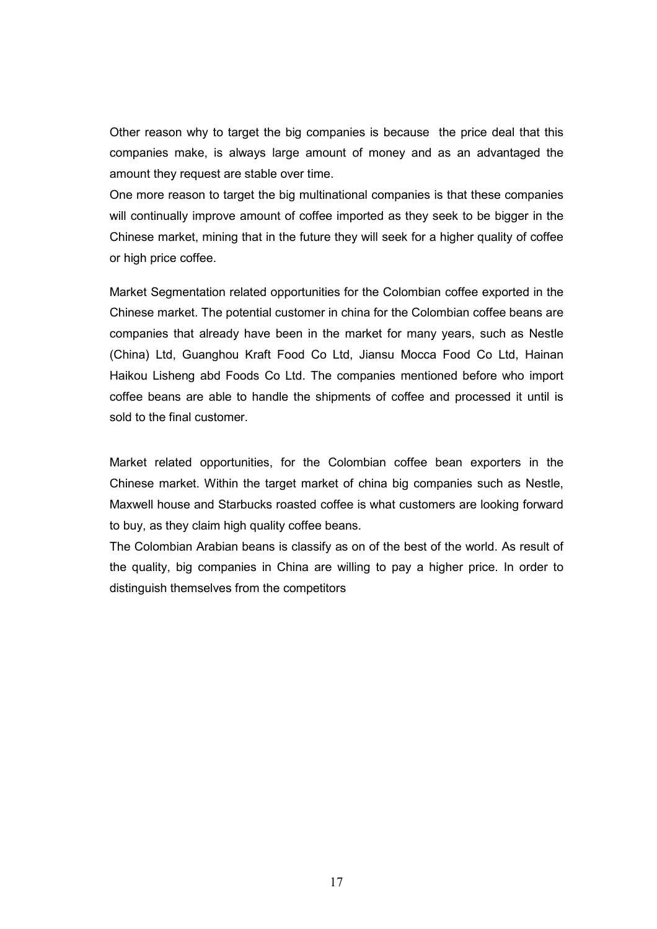Other reason why to target the big companies is because the price deal that this companies make, is always large amount of money and as an advantaged the amount they request are stable over time.

One more reason to target the big multinational companies is that these companies will continually improve amount of coffee imported as they seek to be bigger in the Chinese market, mining that in the future they will seek for a higher quality of coffee or high price coffee.

Market Segmentation related opportunities for the Colombian coffee exported in the Chinese market. The potential customer in china for the Colombian coffee beans are companies that already have been in the market for many years, such as Nestle (China) Ltd, Guanghou Kraft Food Co Ltd, Jiansu Mocca Food Co Ltd, Hainan Haikou Lisheng abd Foods Co Ltd. The companies mentioned before who import coffee beans are able to handle the shipments of coffee and processed it until is sold to the final customer.

Market related opportunities, for the Colombian coffee bean exporters in the Chinese market. Within the target market of china big companies such as Nestle, Maxwell house and Starbucks roasted coffee is what customers are looking forward to buy, as they claim high quality coffee beans.

The Colombian Arabian beans is classify as on of the best of the world. As result of the quality, big companies in China are willing to pay a higher price. In order to distinguish themselves from the competitors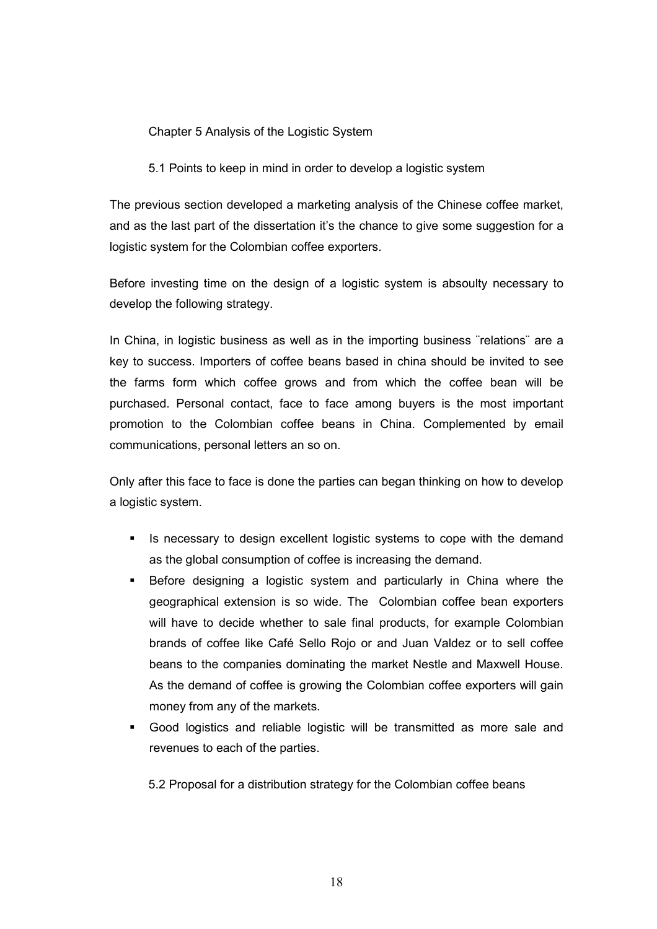Chapter 5 Analysis of the Logistic System

5.1 Points to keep in mind in order to develop a logistic system

The previous section developed a marketing analysis of the Chinese coffee market, and as the last part of the dissertation it's the chance to give some suggestion for a logistic system for the Colombian coffee exporters.

Before investing time on the design of a logistic system is absoulty necessary to develop the following strategy.

In China, in logistic business as well as in the importing business "relations" are a key to success. Importers of coffee beans based in china should be invited to see the farms form which coffee grows and from which the coffee bean will be purchased. Personal contact, face to face among buyers is the most important promotion to the Colombian coffee beans in China. Complemented by email communications, personal letters an so on.

Only after this face to face is done the parties can began thinking on how to develop a logistic system.

- Is necessary to design excellent logistic systems to cope with the demand as the global consumption of coffee is increasing the demand.
- Before designing a logistic system and particularly in China where the geographical extension is so wide. The Colombian coffee bean exporters will have to decide whether to sale final products, for example Colombian brands of coffee like Café Sello Rojo or and Juan Valdez or to sell coffee beans to the companies dominating the market Nestle and Maxwell House. As the demand of coffee is growing the Colombian coffee exporters will gain money from any of the markets.
- Good logistics and reliable logistic will be transmitted as more sale and revenues to each of the parties.

5.2 Proposal for a distribution strategy for the Colombian coffee beans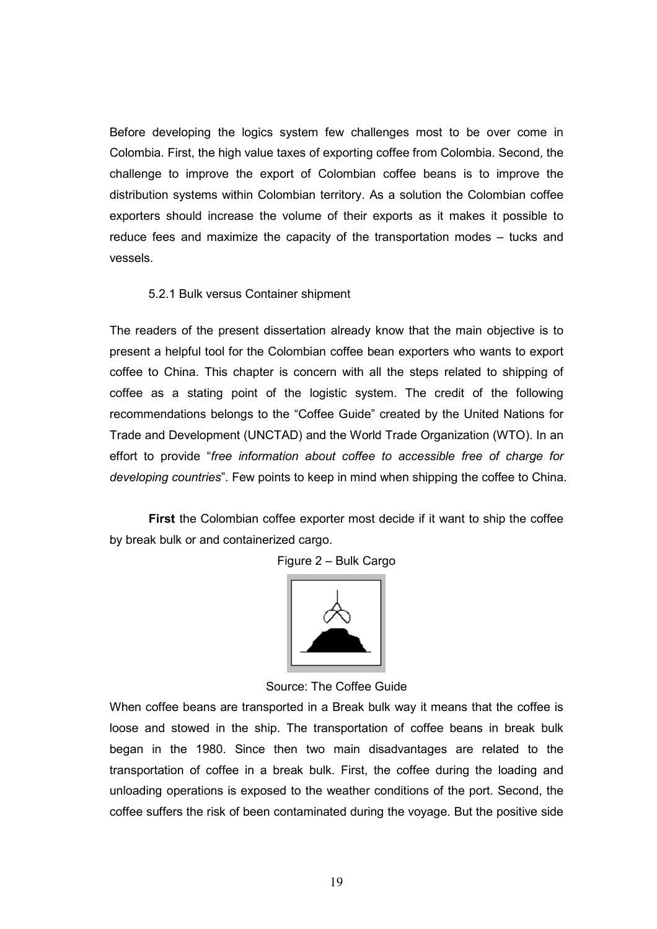Before developing the logics system few challenges most to be over come in Colombia. First, the high value taxes of exporting coffee from Colombia. Second, the challenge to improve the export of Colombian coffee beans is to improve the distribution systems within Colombian territory. As a solution the Colombian coffee exporters should increase the volume of their exports as it makes it possible to reduce fees and maximize the capacity of the transportation modes – tucks and vessels.

#### 5.2.1 Bulk versus Container shipment

The readers of the present dissertation already know that the main objective is to present a helpful tool for the Colombian coffee bean exporters who wants to export coffee to China. This chapter is concern with all the steps related to shipping of coffee as a stating point of the logistic system. The credit of the following recommendations belongs to the "Coffee Guide" created by the United Nations for Trade and Development (UNCTAD) and the World Trade Organization (WTO). In an effort to provide "free information about coffee to accessible free of charge for developing countries". Few points to keep in mind when shipping the coffee to China.

First the Colombian coffee exporter most decide if it want to ship the coffee by break bulk or and containerized cargo.

Figure 2 – Bulk Cargo



Source: The Coffee Guide

When coffee beans are transported in a Break bulk way it means that the coffee is loose and stowed in the ship. The transportation of coffee beans in break bulk began in the 1980. Since then two main disadvantages are related to the transportation of coffee in a break bulk. First, the coffee during the loading and unloading operations is exposed to the weather conditions of the port. Second, the coffee suffers the risk of been contaminated during the voyage. But the positive side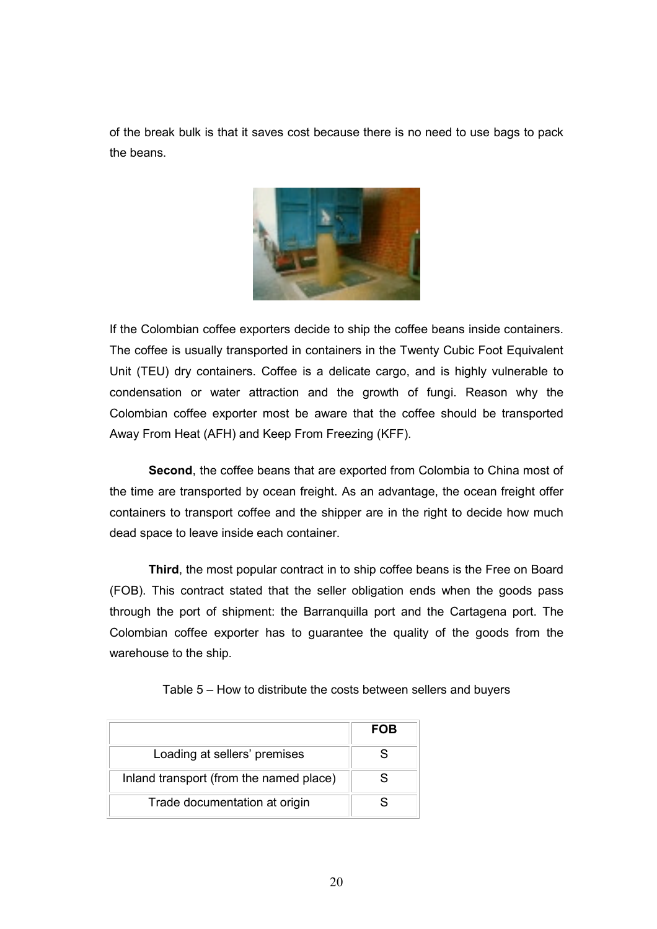of the break bulk is that it saves cost because there is no need to use bags to pack the beans.



If the Colombian coffee exporters decide to ship the coffee beans inside containers. The coffee is usually transported in containers in the Twenty Cubic Foot Equivalent Unit (TEU) dry containers. Coffee is a delicate cargo, and is highly vulnerable to condensation or water attraction and the growth of fungi. Reason why the Colombian coffee exporter most be aware that the coffee should be transported Away From Heat (AFH) and Keep From Freezing (KFF).

Second, the coffee beans that are exported from Colombia to China most of the time are transported by ocean freight. As an advantage, the ocean freight offer containers to transport coffee and the shipper are in the right to decide how much dead space to leave inside each container.

Third, the most popular contract in to ship coffee beans is the Free on Board (FOB). This contract stated that the seller obligation ends when the goods pass through the port of shipment: the Barranquilla port and the Cartagena port. The Colombian coffee exporter has to guarantee the quality of the goods from the warehouse to the ship.

|                                         | <b>FOB</b> |
|-----------------------------------------|------------|
| Loading at sellers' premises            |            |
| Inland transport (from the named place) |            |
| Trade documentation at origin           |            |

Table 5 – How to distribute the costs between sellers and buyers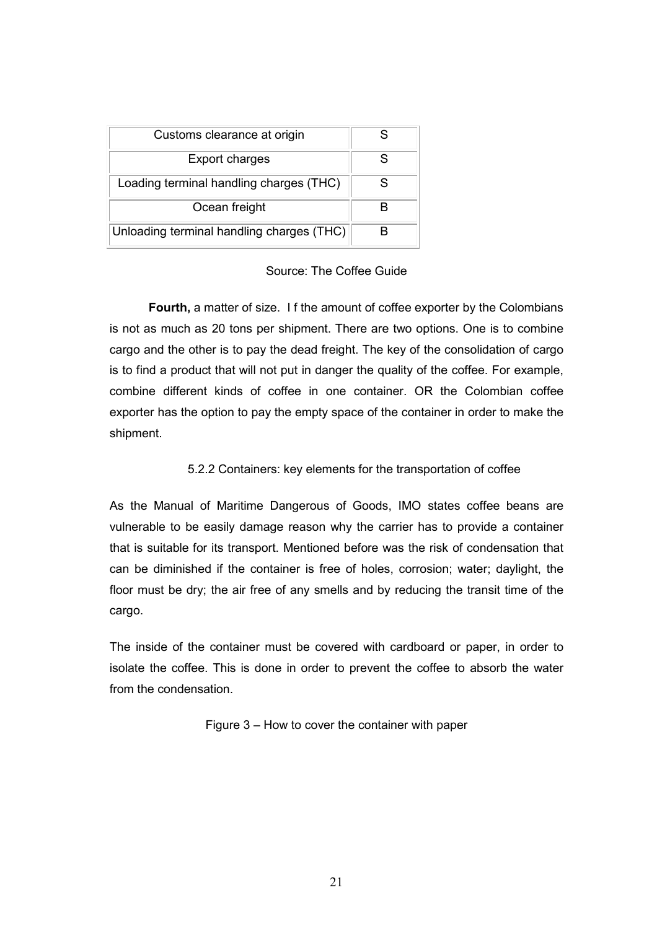| Customs clearance at origin               |   |
|-------------------------------------------|---|
| Export charges                            | S |
| Loading terminal handling charges (THC)   | S |
| Ocean freight                             |   |
| Unloading terminal handling charges (THC) | R |

#### Source: The Coffee Guide

Fourth, a matter of size. I f the amount of coffee exporter by the Colombians is not as much as 20 tons per shipment. There are two options. One is to combine cargo and the other is to pay the dead freight. The key of the consolidation of cargo is to find a product that will not put in danger the quality of the coffee. For example, combine different kinds of coffee in one container. OR the Colombian coffee exporter has the option to pay the empty space of the container in order to make the shipment.

#### 5.2.2 Containers: key elements for the transportation of coffee

As the Manual of Maritime Dangerous of Goods, IMO states coffee beans are vulnerable to be easily damage reason why the carrier has to provide a container that is suitable for its transport. Mentioned before was the risk of condensation that can be diminished if the container is free of holes, corrosion; water; daylight, the floor must be dry; the air free of any smells and by reducing the transit time of the cargo.

The inside of the container must be covered with cardboard or paper, in order to isolate the coffee. This is done in order to prevent the coffee to absorb the water from the condensation.

Figure 3 – How to cover the container with paper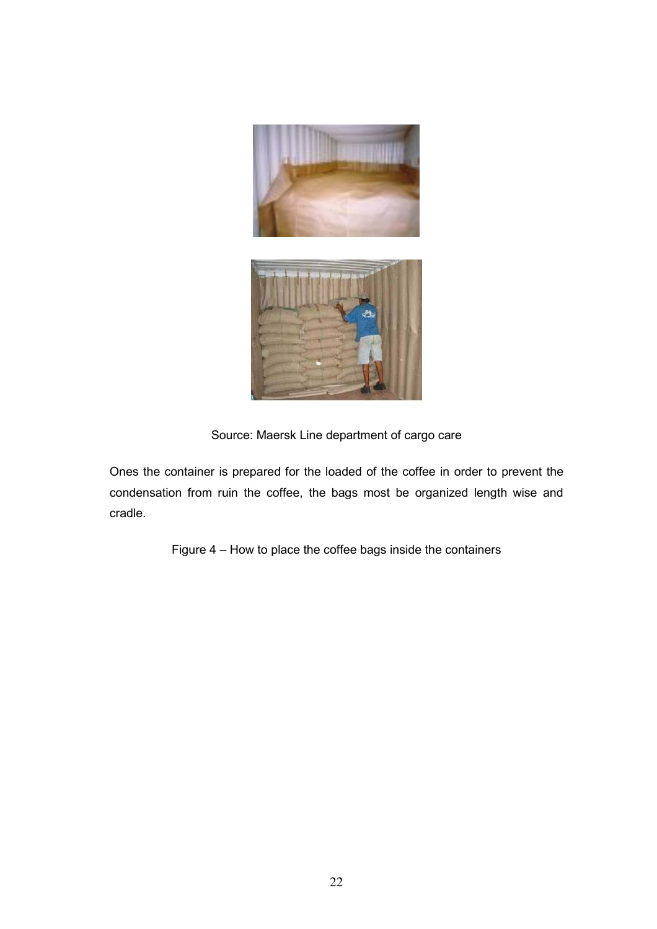



Source: Maersk Line department of cargo care

Ones the container is prepared for the loaded of the coffee in order to prevent the condensation from ruin the coffee, the bags most be organized length wise and cradle.

Figure 4 – How to place the coffee bags inside the containers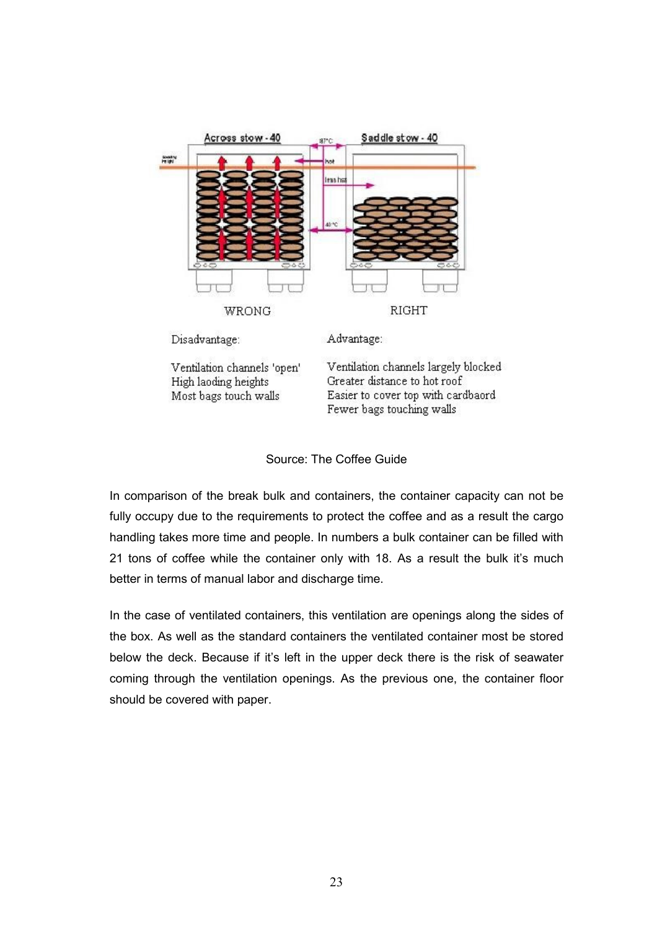



In comparison of the break bulk and containers, the container capacity can not be fully occupy due to the requirements to protect the coffee and as a result the cargo handling takes more time and people. In numbers a bulk container can be filled with 21 tons of coffee while the container only with 18. As a result the bulk it's much better in terms of manual labor and discharge time.

In the case of ventilated containers, this ventilation are openings along the sides of the box. As well as the standard containers the ventilated container most be stored below the deck. Because if it's left in the upper deck there is the risk of seawater coming through the ventilation openings. As the previous one, the container floor should be covered with paper.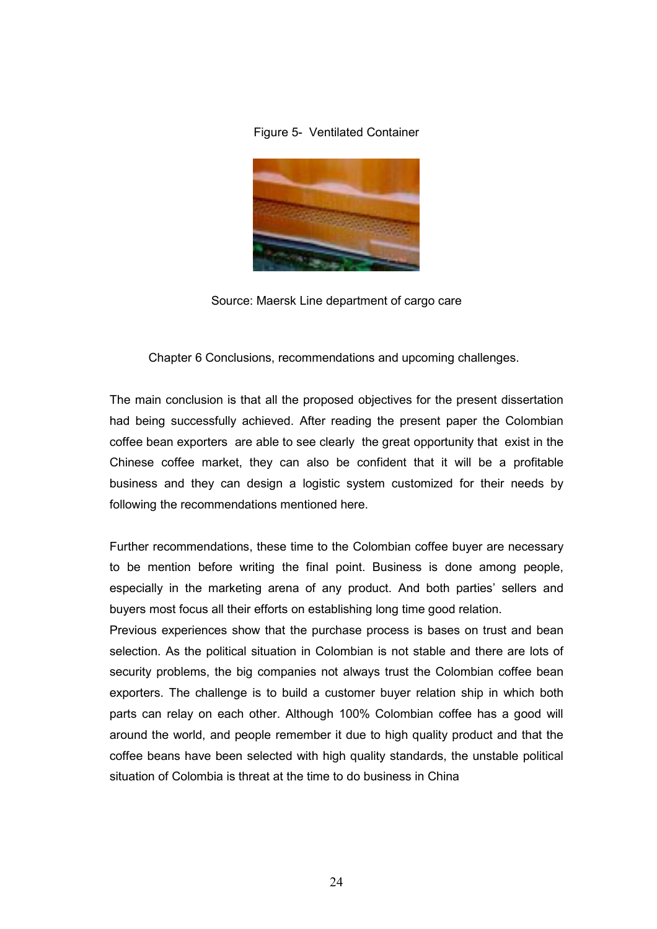#### Figure 5- Ventilated Container



Source: Maersk Line department of cargo care

Chapter 6 Conclusions, recommendations and upcoming challenges.

The main conclusion is that all the proposed objectives for the present dissertation had being successfully achieved. After reading the present paper the Colombian coffee bean exporters are able to see clearly the great opportunity that exist in the Chinese coffee market, they can also be confident that it will be a profitable business and they can design a logistic system customized for their needs by following the recommendations mentioned here.

Further recommendations, these time to the Colombian coffee buyer are necessary to be mention before writing the final point. Business is done among people, especially in the marketing arena of any product. And both parties' sellers and buyers most focus all their efforts on establishing long time good relation.

Previous experiences show that the purchase process is bases on trust and bean selection. As the political situation in Colombian is not stable and there are lots of security problems, the big companies not always trust the Colombian coffee bean exporters. The challenge is to build a customer buyer relation ship in which both parts can relay on each other. Although 100% Colombian coffee has a good will around the world, and people remember it due to high quality product and that the coffee beans have been selected with high quality standards, the unstable political situation of Colombia is threat at the time to do business in China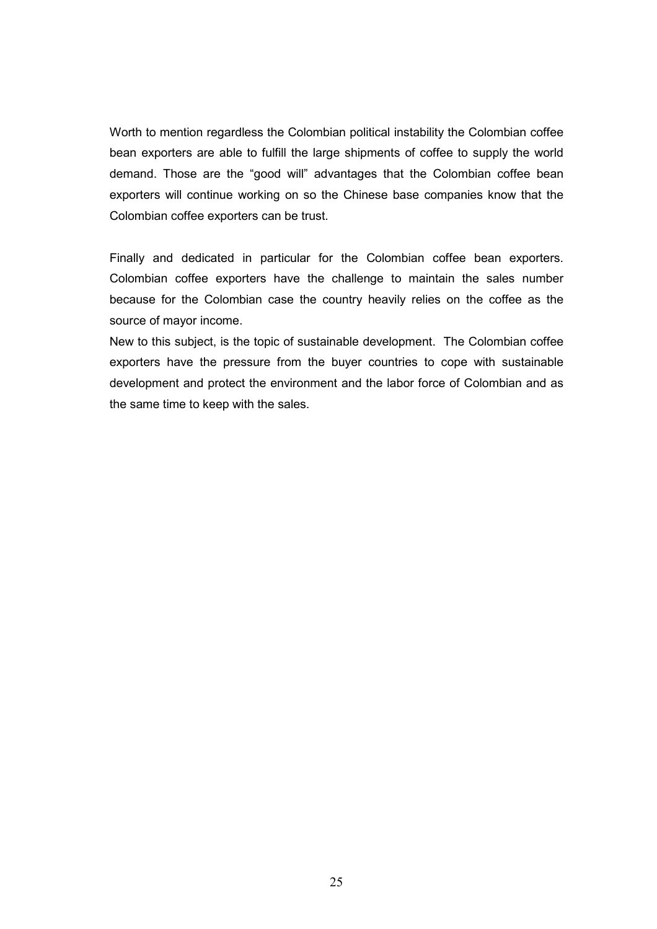Worth to mention regardless the Colombian political instability the Colombian coffee bean exporters are able to fulfill the large shipments of coffee to supply the world demand. Those are the "good will" advantages that the Colombian coffee bean exporters will continue working on so the Chinese base companies know that the Colombian coffee exporters can be trust.

Finally and dedicated in particular for the Colombian coffee bean exporters. Colombian coffee exporters have the challenge to maintain the sales number because for the Colombian case the country heavily relies on the coffee as the source of mayor income.

New to this subject, is the topic of sustainable development. The Colombian coffee exporters have the pressure from the buyer countries to cope with sustainable development and protect the environment and the labor force of Colombian and as the same time to keep with the sales.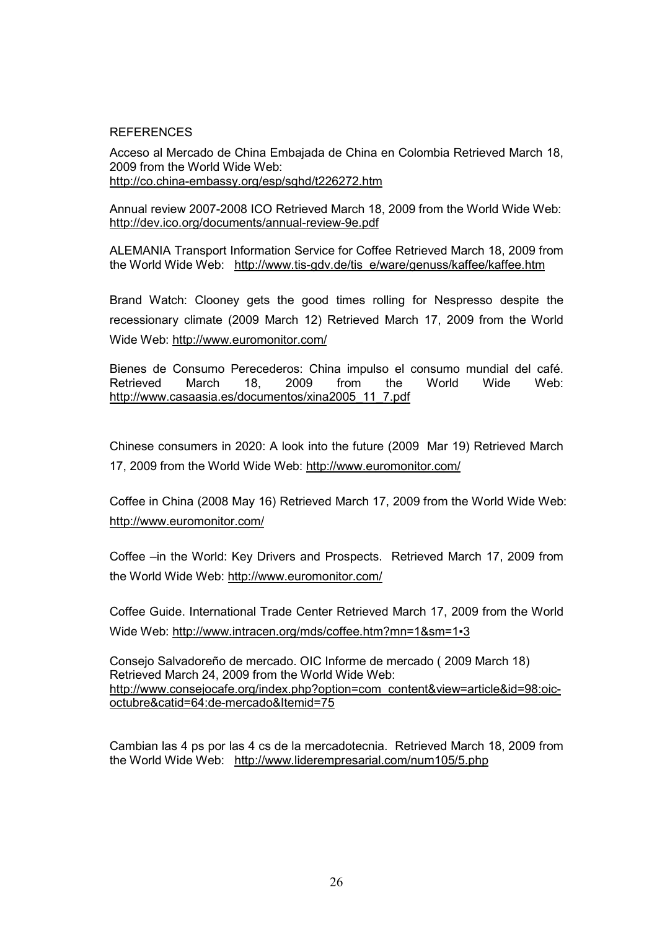#### **REFERENCES**

Acceso al Mercado de China Embajada de China en Colombia Retrieved March 18, 2009 from the World Wide Web: http://co.china-embassy.org/esp/sghd/t226272.htm

Annual review 2007-2008 ICO Retrieved March 18, 2009 from the World Wide Web: http://dev.ico.org/documents/annual-review-9e.pdf

ALEMANIA Transport Information Service for Coffee Retrieved March 18, 2009 from the World Wide Web: http://www.tis-gdv.de/tis\_e/ware/genuss/kaffee/kaffee.htm

Brand Watch: Clooney gets the good times rolling for Nespresso despite the recessionary climate (2009 March 12) Retrieved March 17, 2009 from the World Wide Web: http://www.euromonitor.com/

Bienes de Consumo Perecederos: China impulso el consumo mundial del café. Retrieved March 18, 2009 from the World Wide Web: http://www.casaasia.es/documentos/xina2005\_11\_7.pdf

Chinese consumers in 2020: A look into the future (2009 Mar 19) Retrieved March 17, 2009 from the World Wide Web: http://www.euromonitor.com/

Coffee in China (2008 May 16) Retrieved March 17, 2009 from the World Wide Web: http://www.euromonitor.com/

Coffee –in the World: Key Drivers and Prospects. Retrieved March 17, 2009 from the World Wide Web: http://www.euromonitor.com/

Coffee Guide. International Trade Center Retrieved March 17, 2009 from the World Wide Web: http://www.intracen.org/mds/coffee.htm?mn=1&sm=1▪3

Consejo Salvadoreño de mercado. OIC Informe de mercado ( 2009 March 18) Retrieved March 24, 2009 from the World Wide Web: http://www.consejocafe.org/index.php?option=com\_content&view=article&id=98:oicoctubre&catid=64:de-mercado&Itemid=75

Cambian las 4 ps por las 4 cs de la mercadotecnia. Retrieved March 18, 2009 from the World Wide Web: http://www.liderempresarial.com/num105/5.php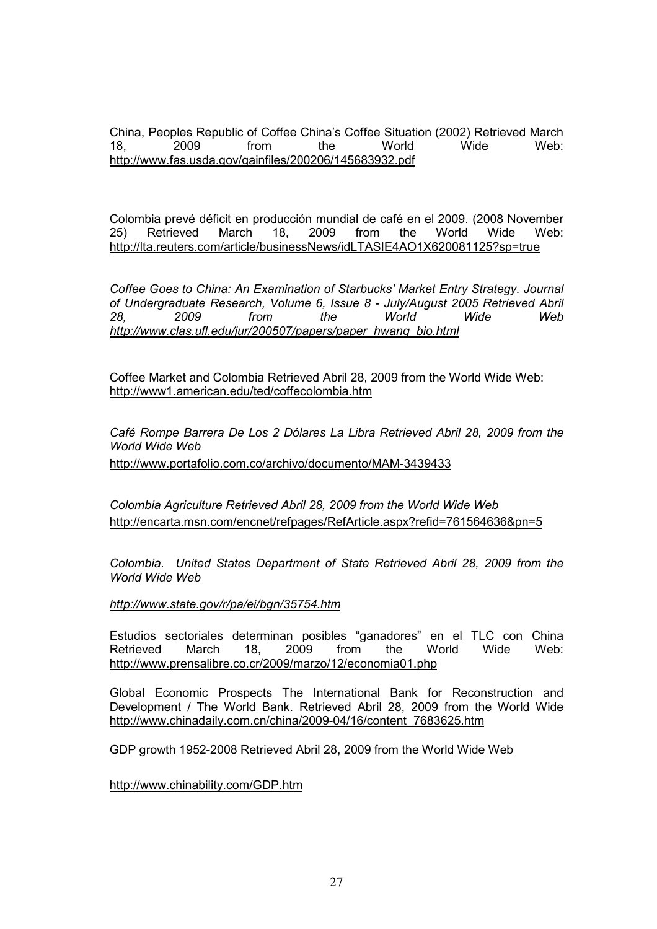China, Peoples Republic of Coffee China's Coffee Situation (2002) Retrieved March 18, 2009 from the World Wide Web: http://www.fas.usda.gov/gainfiles/200206/145683932.pdf

Colombia prevé déficit en producción mundial de café en el 2009. (2008 November 25) Retrieved March 18, 2009 from the World Wide Web: http://lta.reuters.com/article/businessNews/idLTASIE4AO1X620081125?sp=true

Coffee Goes to China: An Examination of Starbucks' Market Entry Strategy. Journal of Undergraduate Research, Volume 6, Issue 8 - July/August 2005 Retrieved Abril 28, 2009 from the World Wide Web http://www.clas.ufl.edu/jur/200507/papers/paper\_hwang\_bio.html

Coffee Market and Colombia Retrieved Abril 28, 2009 from the World Wide Web: http://www1.american.edu/ted/coffecolombia.htm

Café Rompe Barrera De Los 2 Dólares La Libra Retrieved Abril 28, 2009 from the World Wide Web http://www.portafolio.com.co/archivo/documento/MAM-3439433

Colombia Agriculture Retrieved Abril 28, 2009 from the World Wide Web http://encarta.msn.com/encnet/refpages/RefArticle.aspx?refid=761564636&pn=5

Colombia. United States Department of State Retrieved Abril 28, 2009 from the World Wide Web

http://www.state.gov/r/pa/ei/bgn/35754.htm

Estudios sectoriales determinan posibles "ganadores" en el TLC con China Retrieved March 18, 2009 from the World Wide Web: http://www.prensalibre.co.cr/2009/marzo/12/economia01.php

Global Economic Prospects The International Bank for Reconstruction and Development / The World Bank. Retrieved Abril 28, 2009 from the World Wide http://www.chinadaily.com.cn/china/2009-04/16/content\_7683625.htm

GDP growth 1952-2008 Retrieved Abril 28, 2009 from the World Wide Web

http://www.chinability.com/GDP.htm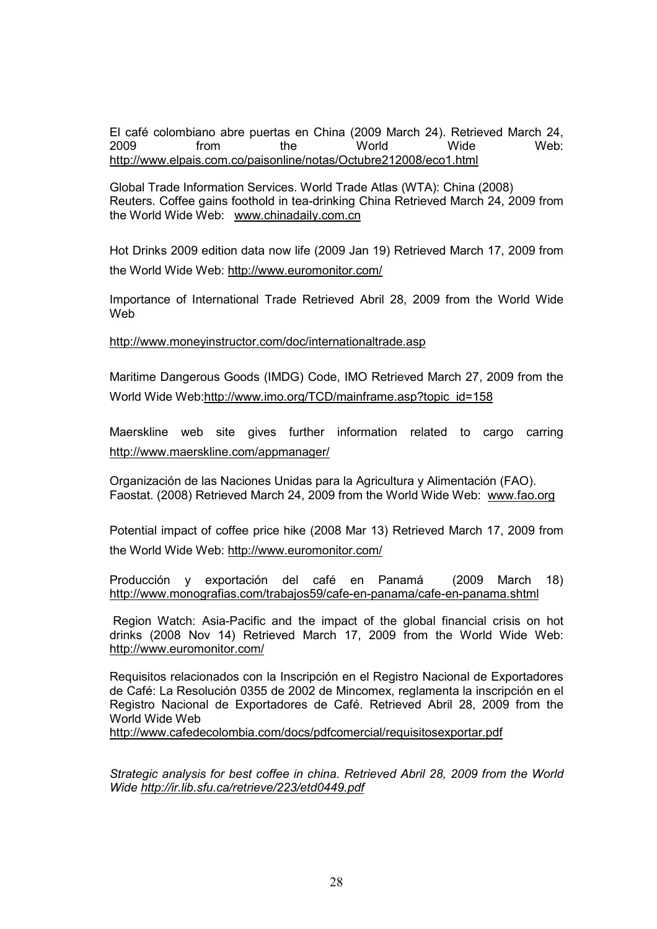El café colombiano abre puertas en China (2009 March 24). Retrieved March 24, 2009 from the World Wide Web: http://www.elpais.com.co/paisonline/notas/Octubre212008/eco1.html

Global Trade Information Services. World Trade Atlas (WTA): China (2008) Reuters. Coffee gains foothold in tea-drinking China Retrieved March 24, 2009 from the World Wide Web: www.chinadaily.com.cn

Hot Drinks 2009 edition data now life (2009 Jan 19) Retrieved March 17, 2009 from the World Wide Web: http://www.euromonitor.com/

Importance of International Trade Retrieved Abril 28, 2009 from the World Wide Web

http://www.moneyinstructor.com/doc/internationaltrade.asp

Maritime Dangerous Goods (IMDG) Code, IMO Retrieved March 27, 2009 from the World Wide Web:http://www.imo.org/TCD/mainframe.asp?topic\_id=158

Maerskline web site gives further information related to cargo carring http://www.maerskline.com/appmanager/

Organización de las Naciones Unidas para la Agricultura y Alimentación (FAO). Faostat. (2008) Retrieved March 24, 2009 from the World Wide Web: www.fao.org

Potential impact of coffee price hike (2008 Mar 13) Retrieved March 17, 2009 from the World Wide Web: http://www.euromonitor.com/

Producción y exportación del café en Panamá (2009 March 18) http://www.monografias.com/trabajos59/cafe-en-panama/cafe-en-panama.shtml

 Region Watch: Asia-Pacific and the impact of the global financial crisis on hot drinks (2008 Nov 14) Retrieved March 17, 2009 from the World Wide Web: http://www.euromonitor.com/

Requisitos relacionados con la Inscripción en el Registro Nacional de Exportadores de Café: La Resolución 0355 de 2002 de Mincomex, reglamenta la inscripción en el Registro Nacional de Exportadores de Café. Retrieved Abril 28, 2009 from the World Wide Web

http://www.cafedecolombia.com/docs/pdfcomercial/requisitosexportar.pdf

Strategic analysis for best coffee in china. Retrieved Abril 28, 2009 from the World Wide http://ir.lib.sfu.ca/retrieve/223/etd0449.pdf